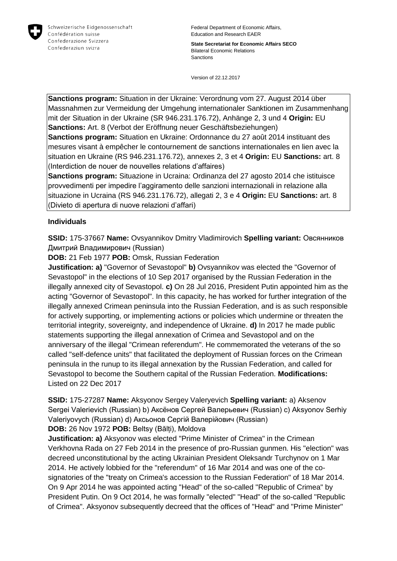

Federal Department of Economic Affairs, Education and Research EAER

**State Secretariat for Economic Affairs SECO** Bilateral Economic Relations Sanctions

Version of 22.12.2017

**Sanctions program:** Situation in der Ukraine: Verordnung vom 27. August 2014 über Massnahmen zur Vermeidung der Umgehung internationaler Sanktionen im Zusammenhang mit der Situation in der Ukraine (SR 946.231.176.72), Anhänge 2, 3 und 4 **Origin:** EU **Sanctions:** Art. 8 (Verbot der Eröffnung neuer Geschäftsbeziehungen)

**Sanctions program:** Situation en Ukraine: Ordonnance du 27 août 2014 instituant des mesures visant à empêcher le contournement de sanctions internationales en lien avec la situation en Ukraine (RS 946.231.176.72), annexes 2, 3 et 4 **Origin:** EU **Sanctions:** art. 8 (Interdiction de nouer de nouvelles relations d'affaires)

**Sanctions program:** Situazione in Ucraina: Ordinanza del 27 agosto 2014 che istituisce provvedimenti per impedire l'aggiramento delle sanzioni internazionali in relazione alla situazione in Ucraina (RS 946.231.176.72), allegati 2, 3 e 4 **Origin:** EU **Sanctions:** art. 8 (Divieto di apertura di nuove relazioni d'affari)

### **Individuals**

**SSID:** 175-37667 **Name:** Ovsyannikov Dmitry Vladimirovich **Spelling variant:** Овсянников Дмитрий Владимирович (Russian)

**DOB:** 21 Feb 1977 **POB:** Omsk, Russian Federation

**Justification: a)** "Governor of Sevastopol" **b)** Ovsyannikov was elected the "Governor of Sevastopol" in the elections of 10 Sep 2017 organised by the Russian Federation in the illegally annexed city of Sevastopol. **c)** On 28 Jul 2016, President Putin appointed him as the acting "Governor of Sevastopol". In this capacity, he has worked for further integration of the illegally annexed Crimean peninsula into the Russian Federation, and is as such responsible for actively supporting, or implementing actions or policies which undermine or threaten the territorial integrity, sovereignty, and independence of Ukraine. **d)** In 2017 he made public statements supporting the illegal annexation of Crimea and Sevastopol and on the anniversary of the illegal "Crimean referendum". He commemorated the veterans of the so called "self-defence units" that facilitated the deployment of Russian forces on the Crimean peninsula in the runup to its illegal annexation by the Russian Federation, and called for Sevastopol to become the Southern capital of the Russian Federation. **Modifications:**  Listed on 22 Dec 2017

**SSID:** 175-27287 **Name:** Aksyonov Sergey Valeryevich **Spelling variant:** a) Aksenov Sergei Valerievich (Russian) b) Аксёнов Сергей Валерьевич (Russian) c) Aksyonov Serhiy Valeriyovych (Russian) d) Аксьонов Сергій Валерійович (Russian) **DOB:** 26 Nov 1972 **POB:** Beltsy (Bălți), Moldova

**Justification: a)** Aksyonov was elected "Prime Minister of Crimea" in the Crimean Verkhovna Rada on 27 Feb 2014 in the presence of pro-Russian gunmen. His "election" was decreed unconstitutional by the acting Ukrainian President Oleksandr Turchynov on 1 Mar 2014. He actively lobbied for the "referendum" of 16 Mar 2014 and was one of the cosignatories of the "treaty on Crimea's accession to the Russian Federation" of 18 Mar 2014. On 9 Apr 2014 he was appointed acting "Head" of the so-called "Republic of Crimea" by President Putin. On 9 Oct 2014, he was formally "elected" "Head" of the so-called "Republic of Crimea". Aksyonov subsequently decreed that the offices of "Head" and "Prime Minister"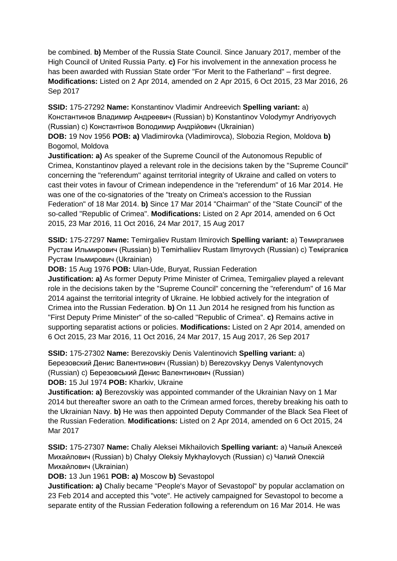be combined. **b)** Member of the Russia State Council. Since January 2017, member of the High Council of United Russia Party. **c)** For his involvement in the annexation process he has been awarded with Russian State order "For Merit to the Fatherland" – first degree. **Modifications:** Listed on 2 Apr 2014, amended on 2 Apr 2015, 6 Oct 2015, 23 Mar 2016, 26 Sep 2017

**SSID:** 175-27292 **Name:** Konstantinov Vladimir Andreevich **Spelling variant:** a) Константинов Владимир Андреевич (Russian) b) Konstantinov Volodymyr Andriyovych (Russian) c) Константiнов Володимир Андрійович (Ukrainian)

**DOB:** 19 Nov 1956 **POB: a)** Vladimirovka (Vladimirovca), Slobozia Region, Moldova **b)**  Bogomol, Moldova

**Justification: a)** As speaker of the Supreme Council of the Autonomous Republic of Crimea, Konstantinov played a relevant role in the decisions taken by the "Supreme Council" concerning the "referendum" against territorial integrity of Ukraine and called on voters to cast their votes in favour of Crimean independence in the "referendum" of 16 Mar 2014. He was one of the co-signatories of the "treaty on Crimea's accession to the Russian Federation" of 18 Mar 2014. **b)** Since 17 Mar 2014 "Chairman" of the "State Council" of the so-called "Republic of Crimea". **Modifications:** Listed on 2 Apr 2014, amended on 6 Oct 2015, 23 Mar 2016, 11 Oct 2016, 24 Mar 2017, 15 Aug 2017

**SSID:** 175-27297 **Name:** Temirgaliev Rustam Ilmirovich **Spelling variant:** a) Темиргалиев Рустам Ильмирович (Russian) b) Temirhaliiev Rustam Ilmyrovych (Russian) c) Темiргалiєв Рустам Iльмирович (Ukrainian)

**DOB:** 15 Aug 1976 **POB:** Ulan-Ude, Buryat, Russian Federation

**Justification: a)** As former Deputy Prime Minister of Crimea, Temirgaliev played a relevant role in the decisions taken by the "Supreme Council" concerning the "referendum" of 16 Mar 2014 against the territorial integrity of Ukraine. He lobbied actively for the integration of Crimea into the Russian Federation. **b)** On 11 Jun 2014 he resigned from his function as "First Deputy Prime Minister" of the so-called "Republic of Crimea". **c)** Remains active in supporting separatist actions or policies. **Modifications:** Listed on 2 Apr 2014, amended on 6 Oct 2015, 23 Mar 2016, 11 Oct 2016, 24 Mar 2017, 15 Aug 2017, 26 Sep 2017

**SSID:** 175-27302 **Name:** Berezovskiy Denis Valentinovich **Spelling variant:** a) Березовский Денис Валентинович (Russian) b) Berezovskyy Denys Valentynovych (Russian) c) Березовський Денис Валентинович (Russian)

**DOB:** 15 Jul 1974 **POB:** Kharkiv, Ukraine

**Justification: a)** Berezovskiy was appointed commander of the Ukrainian Navy on 1 Mar 2014 but thereafter swore an oath to the Crimean armed forces, thereby breaking his oath to the Ukrainian Navy. **b)** He was then appointed Deputy Commander of the Black Sea Fleet of the Russian Federation. **Modifications:** Listed on 2 Apr 2014, amended on 6 Oct 2015, 24 Mar 2017

**SSID:** 175-27307 **Name:** Chaliy Aleksei Mikhailovich **Spelling variant:** a) Чалый Алексей Михайлович (Russian) b) Chalyy Oleksiy Mykhaylovych (Russian) c) Чалий Олексій Михайлович (Ukrainian)

**DOB:** 13 Jun 1961 **POB: a)** Moscow **b)** Sevastopol

**Justification: a)** Chaliy became "People's Mayor of Sevastopol" by popular acclamation on 23 Feb 2014 and accepted this "vote". He actively campaigned for Sevastopol to become a separate entity of the Russian Federation following a referendum on 16 Mar 2014. He was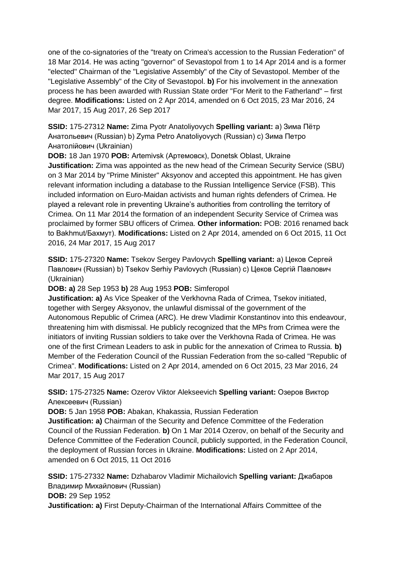one of the co-signatories of the "treaty on Crimea's accession to the Russian Federation" of 18 Mar 2014. He was acting "governor" of Sevastopol from 1 to 14 Apr 2014 and is a former "elected" Chairman of the "Legislative Assembly" of the City of Sevastopol. Member of the "Legislative Assembly" of the City of Sevastopol. **b)** For his involvement in the annexation process he has been awarded with Russian State order "For Merit to the Fatherland" – first degree. **Modifications:** Listed on 2 Apr 2014, amended on 6 Oct 2015, 23 Mar 2016, 24 Mar 2017, 15 Aug 2017, 26 Sep 2017

**SSID:** 175-27312 **Name:** Zima Pyotr Anatoliyovych **Spelling variant:** a) Зима Пётр Анатольевич (Russian) b) Zyma Petro Anatoliyovych (Russian) c) Зима Петро Анатолійович (Ukrainian)

**DOB:** 18 Jan 1970 **POB:** Artemivsk (Артемовск), Donetsk Oblast, Ukraine **Justification:** Zima was appointed as the new head of the Crimean Security Service (SBU) on 3 Mar 2014 by "Prime Minister" Aksyonov and accepted this appointment. He has given relevant information including a database to the Russian Intelligence Service (FSB). This included information on Euro-Maidan activists and human rights defenders of Crimea. He played a relevant role in preventing Ukraine's authorities from controlling the territory of Crimea. On 11 Mar 2014 the formation of an independent Security Service of Crimea was proclaimed by former SBU officers of Crimea. **Other information:** POB: 2016 renamed back to Bakhmut/Бахмут). **Modifications:** Listed on 2 Apr 2014, amended on 6 Oct 2015, 11 Oct 2016, 24 Mar 2017, 15 Aug 2017

**SSID:** 175-27320 **Name:** Tsekov Sergey Pavlovych **Spelling variant:** a) Цеков Сергей Павлович (Russian) b) Tsekov Serhiy Pavlovych (Russian) c) Цеков Сергій Павлович (Ukrainian)

**DOB: a)** 28 Sep 1953 **b)** 28 Aug 1953 **POB:** Simferopol

**Justification: a)** As Vice Speaker of the Verkhovna Rada of Crimea, Tsekov initiated, together with Sergey Aksyonov, the unlawful dismissal of the government of the Autonomous Republic of Crimea (ARC). He drew Vladimir Konstantinov into this endeavour, threatening him with dismissal. He publicly recognized that the MPs from Crimea were the initiators of inviting Russian soldiers to take over the Verkhovna Rada of Crimea. He was one of the first Crimean Leaders to ask in public for the annexation of Crimea to Russia. **b)**  Member of the Federation Council of the Russian Federation from the so-called "Republic of Crimea". **Modifications:** Listed on 2 Apr 2014, amended on 6 Oct 2015, 23 Mar 2016, 24 Mar 2017, 15 Aug 2017

**SSID:** 175-27325 **Name:** Ozerov Viktor Alekseevich **Spelling variant:** Озеров Виктор Алексеевич (Russian)

**DOB:** 5 Jan 1958 **POB:** Abakan, Khakassia, Russian Federation

**Justification: a)** Chairman of the Security and Defence Committee of the Federation Council of the Russian Federation. **b)** On 1 Mar 2014 Ozerov, on behalf of the Security and Defence Committee of the Federation Council, publicly supported, in the Federation Council, the deployment of Russian forces in Ukraine. **Modifications:** Listed on 2 Apr 2014, amended on 6 Oct 2015, 11 Oct 2016

**SSID:** 175-27332 **Name:** Dzhabarov Vladimir Michailovich **Spelling variant:** Джабаров Владимир Михайлович (Russian) **DOB:** 29 Sep 1952 **Justification: a)** First Deputy-Chairman of the International Affairs Committee of the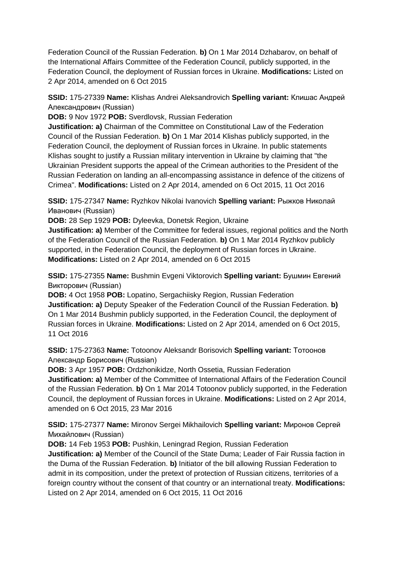Federation Council of the Russian Federation. **b)** On 1 Mar 2014 Dzhabarov, on behalf of the International Affairs Committee of the Federation Council, publicly supported, in the Federation Council, the deployment of Russian forces in Ukraine. **Modifications:** Listed on 2 Apr 2014, amended on 6 Oct 2015

**SSID:** 175-27339 **Name:** Klishas Andrei Aleksandrovich **Spelling variant:** Клишас Андрей Александрович (Russian)

**DOB:** 9 Nov 1972 **POB:** Sverdlovsk, Russian Federation

**Justification: a)** Chairman of the Committee on Constitutional Law of the Federation Council of the Russian Federation. **b)** On 1 Mar 2014 Klishas publicly supported, in the Federation Council, the deployment of Russian forces in Ukraine. In public statements Klishas sought to justify a Russian military intervention in Ukraine by claiming that "the Ukrainian President supports the appeal of the Crimean authorities to the President of the Russian Federation on landing an all-encompassing assistance in defence of the citizens of Crimea". **Modifications:** Listed on 2 Apr 2014, amended on 6 Oct 2015, 11 Oct 2016

**SSID:** 175-27347 **Name:** Ryzhkov Nikolai Ivanovich **Spelling variant:** Рыжков Николай Иванович (Russian)

**DOB:** 28 Sep 1929 **POB:** Dyleevka, Donetsk Region, Ukraine

**Justification: a)** Member of the Committee for federal issues, regional politics and the North of the Federation Council of the Russian Federation. **b)** On 1 Mar 2014 Ryzhkov publicly supported, in the Federation Council, the deployment of Russian forces in Ukraine. **Modifications:** Listed on 2 Apr 2014, amended on 6 Oct 2015

**SSID:** 175-27355 **Name:** Bushmin Evgeni Viktorovich **Spelling variant:** Бушмин Евгений Викторович (Russian)

**DOB:** 4 Oct 1958 **POB:** Lopatino, Sergachiisky Region, Russian Federation **Justification: a)** Deputy Speaker of the Federation Council of the Russian Federation. **b)**  On 1 Mar 2014 Bushmin publicly supported, in the Federation Council, the deployment of Russian forces in Ukraine. **Modifications:** Listed on 2 Apr 2014, amended on 6 Oct 2015, 11 Oct 2016

**SSID:** 175-27363 **Name:** Totoonov Aleksandr Borisovich **Spelling variant:** Тотоонов Александр Борисович (Russian)

**DOB:** 3 Apr 1957 **POB:** Ordzhonikidze, North Ossetia, Russian Federation **Justification: a)** Member of the Committee of International Affairs of the Federation Council of the Russian Federation. **b)** On 1 Mar 2014 Totoonov publicly supported, in the Federation Council, the deployment of Russian forces in Ukraine. **Modifications:** Listed on 2 Apr 2014, amended on 6 Oct 2015, 23 Mar 2016

**SSID:** 175-27377 **Name:** Mironov Sergei Mikhailovich **Spelling variant:** Миронов Сергей Михайлович (Russian)

**DOB:** 14 Feb 1953 **POB:** Pushkin, Leningrad Region, Russian Federation **Justification: a)** Member of the Council of the State Duma; Leader of Fair Russia faction in the Duma of the Russian Federation. **b)** Initiator of the bill allowing Russian Federation to admit in its composition, under the pretext of protection of Russian citizens, territories of a foreign country without the consent of that country or an international treaty. **Modifications:**  Listed on 2 Apr 2014, amended on 6 Oct 2015, 11 Oct 2016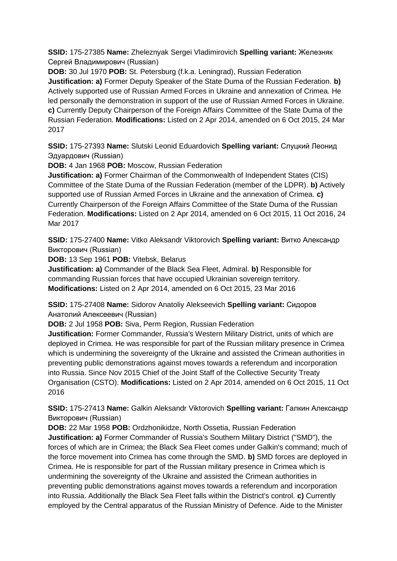**SSID:** 175-27385 **Name:** Zheleznyak Sergei Vladimirovich **Spelling variant:** Железняк Сергей Владимирович (Russian)

**DOB:** 30 Jul 1970 **POB:** St. Petersburg (f.k.a. Leningrad), Russian Federation **Justification: a)** Former Deputy Speaker of the State Duma of the Russian Federation. **b)**  Actively supported use of Russian Armed Forces in Ukraine and annexation of Crimea. He led personally the demonstration in support of the use of Russian Armed Forces in Ukraine. **c)** Currently Deputy Chairperson of the Foreign Affairs Committee of the State Duma of the Russian Federation. **Modifications:** Listed on 2 Apr 2014, amended on 6 Oct 2015, 24 Mar 2017

**SSID:** 175-27393 **Name:** Slutski Leonid Eduardovich **Spelling variant:** Слуцкий Леонид Эдуардович (Russian)

**DOB:** 4 Jan 1968 **POB:** Moscow, Russian Federation

**Justification: a)** Former Chairman of the Commonwealth of Independent States (CIS) Committee of the State Duma of the Russian Federation (member of the LDPR). **b)** Actively supported use of Russian Armed Forces in Ukraine and the annexation of Crimea. **c)**  Currently Chairperson of the Foreign Affairs Committee of the State Duma of the Russian Federation. **Modifications:** Listed on 2 Apr 2014, amended on 6 Oct 2015, 11 Oct 2016, 24 Mar 2017

**SSID:** 175-27400 **Name:** Vitko Aleksandr Viktorovich **Spelling variant:** Витко Александр Викторович (Russian)

**DOB:** 13 Sep 1961 **POB:** Vitebsk, Belarus

**Justification: a)** Commander of the Black Sea Fleet, Admiral. **b)** Responsible for commanding Russian forces that have occupied Ukrainian sovereign territory. **Modifications:** Listed on 2 Apr 2014, amended on 6 Oct 2015, 23 Mar 2016

**SSID:** 175-27408 **Name:** Sidorov Anatoliy Alekseevich **Spelling variant:** Сидоров Анатолий Алексеевич (Russian)

**DOB:** 2 Jul 1958 **POB:** Siva, Perm Region, Russian Federation

**Justification:** Former Commander, Russia's Western Military District, units of which are deployed in Crimea. He was responsible for part of the Russian military presence in Crimea which is undermining the sovereignty of the Ukraine and assisted the Crimean authorities in preventing public demonstrations against moves towards a referendum and incorporation into Russia. Since Nov 2015 Chief of the Joint Staff of the Collective Security Treaty Organisation (CSTO). **Modifications:** Listed on 2 Apr 2014, amended on 6 Oct 2015, 11 Oct 2016

**SSID:** 175-27413 **Name:** Galkin Aleksandr Viktorovich **Spelling variant:** Галкин Александр Викторович (Russian)

**DOB:** 22 Mar 1958 **POB:** Ordzhonikidze, North Ossetia, Russian Federation **Justification: a)** Former Commander of Russia's Southern Military District ("SMD"), the forces of which are in Crimea; the Black Sea Fleet comes under Galkin's command; much of the force movement into Crimea has come through the SMD. **b)** SMD forces are deployed in Crimea. He is responsible for part of the Russian military presence in Crimea which is undermining the sovereignty of the Ukraine and assisted the Crimean authorities in preventing public demonstrations against moves towards a referendum and incorporation into Russia. Additionally the Black Sea Fleet falls within the District's control. **c)** Currently employed by the Central apparatus of the Russian Ministry of Defence. Aide to the Minister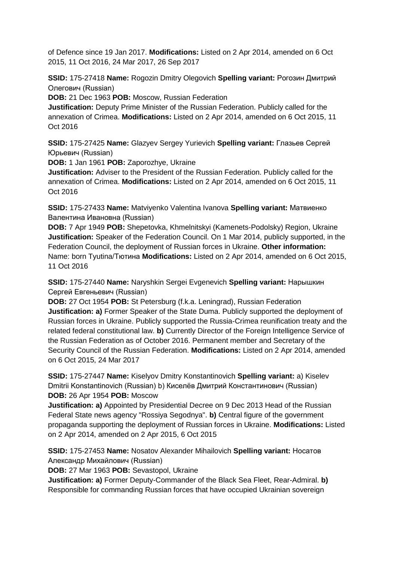of Defence since 19 Jan 2017. **Modifications:** Listed on 2 Apr 2014, amended on 6 Oct 2015, 11 Oct 2016, 24 Mar 2017, 26 Sep 2017

**SSID:** 175-27418 **Name:** Rogozin Dmitry Olegovich **Spelling variant:** Рогозин Дмитрий Олегович (Russian)

**DOB:** 21 Dec 1963 **POB:** Moscow, Russian Federation

**Justification:** Deputy Prime Minister of the Russian Federation. Publicly called for the annexation of Crimea. **Modifications:** Listed on 2 Apr 2014, amended on 6 Oct 2015, 11 Oct 2016

**SSID:** 175-27425 **Name:** Glazyev Sergey Yurievich **Spelling variant:** Глазьев Сергей Юрьевич (Russian)

**DOB:** 1 Jan 1961 **POB:** Zaporozhye, Ukraine

**Justification:** Adviser to the President of the Russian Federation. Publicly called for the annexation of Crimea. **Modifications:** Listed on 2 Apr 2014, amended on 6 Oct 2015, 11 Oct 2016

**SSID:** 175-27433 **Name:** Matviyenko Valentina Ivanova **Spelling variant:** Матвиенко Валентина Ивановна (Russian)

**DOB:** 7 Apr 1949 **POB:** Shepetovka, Khmelnitskyi (Kamenets-Podolsky) Region, Ukraine **Justification:** Speaker of the Federation Council. On 1 Mar 2014, publicly supported, in the Federation Council, the deployment of Russian forces in Ukraine. **Other information:** Name: born Tyutina/Тютина **Modifications:** Listed on 2 Apr 2014, amended on 6 Oct 2015, 11 Oct 2016

**SSID:** 175-27440 **Name:** Naryshkin Sergei Evgenevich **Spelling variant:** Нарышкин Сергей Евгеньевич (Russian)

**DOB:** 27 Oct 1954 **POB:** St Petersburg (f.k.a. Leningrad), Russian Federation **Justification: a)** Former Speaker of the State Duma. Publicly supported the deployment of Russian forces in Ukraine. Publicly supported the Russia-Crimea reunification treaty and the related federal constitutional law. **b)** Currently Director of the Foreign Intelligence Service of the Russian Federation as of October 2016. Permanent member and Secretary of the Security Council of the Russian Federation. **Modifications:** Listed on 2 Apr 2014, amended on 6 Oct 2015, 24 Mar 2017

**SSID:** 175-27447 **Name:** Kiselyov Dmitry Konstantinovich **Spelling variant:** a) Kiselev Dmitrii Konstantinovich (Russian) b) Киселёв Дмитрий Константинович (Russian) **DOB:** 26 Apr 1954 **POB:** Moscow

**Justification: a)** Appointed by Presidential Decree on 9 Dec 2013 Head of the Russian Federal State news agency "Rossiya Segodnya". **b)** Central figure of the government propaganda supporting the deployment of Russian forces in Ukraine. **Modifications:** Listed on 2 Apr 2014, amended on 2 Apr 2015, 6 Oct 2015

**SSID:** 175-27453 **Name:** Nosatov Alexander Mihailovich **Spelling variant:** Носатов Александр Михайлович (Russian)

**DOB:** 27 Mar 1963 **POB:** Sevastopol, Ukraine

**Justification: a)** Former Deputy-Commander of the Black Sea Fleet, Rear-Admiral. **b)**  Responsible for commanding Russian forces that have occupied Ukrainian sovereign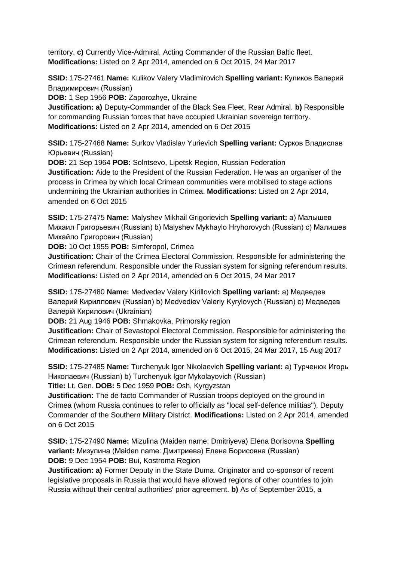territory. **c)** Currently Vice-Admiral, Acting Commander of the Russian Baltic fleet. **Modifications:** Listed on 2 Apr 2014, amended on 6 Oct 2015, 24 Mar 2017

**SSID:** 175-27461 **Name:** Kulikov Valery Vladimirovich **Spelling variant:** Куликов Валерий Владимирович (Russian)

**DOB:** 1 Sep 1956 **POB:** Zaporozhye, Ukraine

**Justification: a)** Deputy-Commander of the Black Sea Fleet, Rear Admiral. **b)** Responsible for commanding Russian forces that have occupied Ukrainian sovereign territory. **Modifications:** Listed on 2 Apr 2014, amended on 6 Oct 2015

**SSID:** 175-27468 **Name:** Surkov Vladislav Yurievich **Spelling variant:** Сурков Владислав Юрьевич (Russian)

**DOB:** 21 Sep 1964 **POB:** Solntsevo, Lipetsk Region, Russian Federation **Justification:** Aide to the President of the Russian Federation. He was an organiser of the process in Crimea by which local Crimean communities were mobilised to stage actions undermining the Ukrainian authorities in Crimea. **Modifications:** Listed on 2 Apr 2014, amended on 6 Oct 2015

**SSID:** 175-27475 **Name:** Malyshev Mikhail Grigorievich **Spelling variant:** a) Малышев Михаил Григорьевич (Russian) b) Malyshev Mykhaylo Hryhorovych (Russian) c) Малишев Михайло Григорович (Russian)

**DOB:** 10 Oct 1955 **POB:** Simferopol, Crimea

**Justification:** Chair of the Crimea Electoral Commission. Responsible for administering the Crimean referendum. Responsible under the Russian system for signing referendum results. **Modifications:** Listed on 2 Apr 2014, amended on 6 Oct 2015, 24 Mar 2017

**SSID:** 175-27480 **Name:** Medvedev Valery Kirillovich **Spelling variant:** a) Медведев Валерий Кириллович (Russian) b) Medvediev Valeriy Kyrylovych (Russian) c) Медведєв Валерій Кирилович (Ukrainian)

**DOB:** 21 Aug 1946 **POB:** Shmakovka, Primorsky region

**Justification:** Chair of Sevastopol Electoral Commission. Responsible for administering the Crimean referendum. Responsible under the Russian system for signing referendum results. **Modifications:** Listed on 2 Apr 2014, amended on 6 Oct 2015, 24 Mar 2017, 15 Aug 2017

**SSID:** 175-27485 **Name:** Turchenyuk Igor Nikolaevich **Spelling variant:** a) Турченюк Игорь Николаевич (Russian) b) Turchenyuk Igor Mykolayovich (Russian)

**Title:** Lt. Gen. **DOB:** 5 Dec 1959 **POB:** Osh, Kyrgyzstan

**Justification:** The de facto Commander of Russian troops deployed on the ground in Crimea (whom Russia continues to refer to officially as "local self-defence militias"). Deputy Commander of the Southern Military District. **Modifications:** Listed on 2 Apr 2014, amended on 6 Oct 2015

**SSID:** 175-27490 **Name:** Mizulina (Maiden name: Dmitriyeva) Elena Borisovna **Spelling variant:** Мизулина (Maiden name: Дмитриева) Елена Борисовна (Russian) **DOB:** 9 Dec 1954 **POB:** Bui, Kostroma Region

**Justification: a)** Former Deputy in the State Duma. Originator and co-sponsor of recent legislative proposals in Russia that would have allowed regions of other countries to join Russia without their central authorities' prior agreement. **b)** As of September 2015, a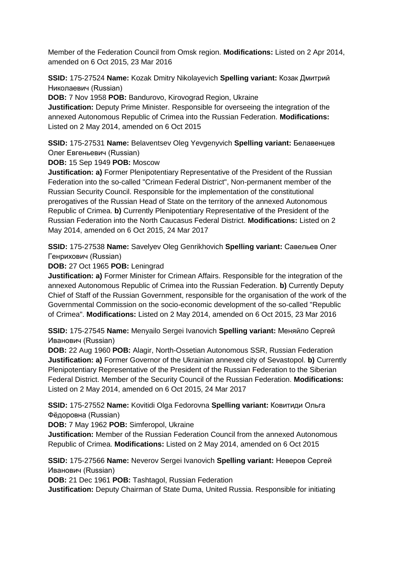Member of the Federation Council from Omsk region. **Modifications:** Listed on 2 Apr 2014, amended on 6 Oct 2015, 23 Mar 2016

**SSID:** 175-27524 **Name:** Kozak Dmitry Nikolayevich **Spelling variant:** Козак Дмитрий Николаевич (Russian)

**DOB:** 7 Nov 1958 **POB:** Bandurovo, Kirovograd Region, Ukraine

**Justification:** Deputy Prime Minister. Responsible for overseeing the integration of the annexed Autonomous Republic of Crimea into the Russian Federation. **Modifications:**  Listed on 2 May 2014, amended on 6 Oct 2015

**SSID:** 175-27531 **Name:** Belaventsev Oleg Yevgenyvich **Spelling variant:** Белавенцев Олег Евгеньевич (Russian)

**DOB:** 15 Sep 1949 **POB:** Moscow

**Justification: a)** Former Plenipotentiary Representative of the President of the Russian Federation into the so-called "Crimean Federal District", Non-permanent member of the Russian Security Council. Responsible for the implementation of the constitutional prerogatives of the Russian Head of State on the territory of the annexed Autonomous Republic of Crimea. **b)** Currently Plenipotentiary Representative of the President of the Russian Federation into the North Caucasus Federal District. **Modifications:** Listed on 2 May 2014, amended on 6 Oct 2015, 24 Mar 2017

**SSID:** 175-27538 **Name:** Savelyev Oleg Genrikhovich **Spelling variant:** Савельев Олег Генрихович (Russian)

**DOB:** 27 Oct 1965 **POB:** Leningrad

**Justification: a)** Former Minister for Crimean Affairs. Responsible for the integration of the annexed Autonomous Republic of Crimea into the Russian Federation. **b)** Currently Deputy Chief of Staff of the Russian Government, responsible for the organisation of the work of the Governmental Commission on the socio-economic development of the so-called "Republic of Crimea". **Modifications:** Listed on 2 May 2014, amended on 6 Oct 2015, 23 Mar 2016

**SSID:** 175-27545 **Name:** Menyailo Sergei Ivanovich **Spelling variant:** Меняйло Сергей Иванович (Russian)

**DOB:** 22 Aug 1960 **POB:** Alagir, North-Ossetian Autonomous SSR, Russian Federation **Justification: a)** Former Governor of the Ukrainian annexed city of Sevastopol. **b)** Currently Plenipotentiary Representative of the President of the Russian Federation to the Siberian Federal District. Member of the Security Council of the Russian Federation. **Modifications:**  Listed on 2 May 2014, amended on 6 Oct 2015, 24 Mar 2017

**SSID:** 175-27552 **Name:** Kovitidi Olga Fedorovna **Spelling variant:** Ковитиди Ольга Фёдоровна (Russian)

**DOB:** 7 May 1962 **POB:** Simferopol, Ukraine

**Justification:** Member of the Russian Federation Council from the annexed Autonomous Republic of Crimea. **Modifications:** Listed on 2 May 2014, amended on 6 Oct 2015

**SSID:** 175-27566 **Name:** Neverov Sergei Ivanovich **Spelling variant:** Неверов Сергей Иванович (Russian)

**DOB:** 21 Dec 1961 **POB:** Tashtagol, Russian Federation

**Justification:** Deputy Chairman of State Duma, United Russia. Responsible for initiating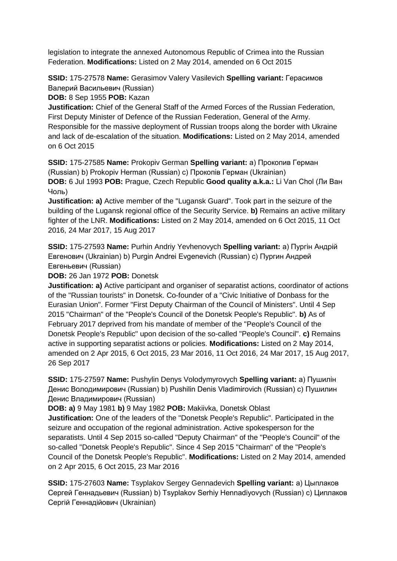legislation to integrate the annexed Autonomous Republic of Crimea into the Russian Federation. **Modifications:** Listed on 2 May 2014, amended on 6 Oct 2015

**SSID:** 175-27578 **Name:** Gerasimov Valery Vasilevich **Spelling variant:** Герасимов Валерий Васильевич (Russian)

**DOB:** 8 Sep 1955 **POB:** Kazan

**Justification:** Chief of the General Staff of the Armed Forces of the Russian Federation, First Deputy Minister of Defence of the Russian Federation, General of the Army. Responsible for the massive deployment of Russian troops along the border with Ukraine and lack of de-escalation of the situation. **Modifications:** Listed on 2 May 2014, amended on 6 Oct 2015

**SSID:** 175-27585 **Name:** Prokopiv German **Spelling variant:** a) Прокопив Герман (Russian) b) Prokopiv Herman (Russian) c) Прокопiв Герман (Ukrainian) **DOB:** 6 Jul 1993 **POB:** Prague, Czech Republic **Good quality a.k.a.:** Li Van Chol (Ли Ван Чоль)

**Justification: a)** Active member of the "Lugansk Guard". Took part in the seizure of the building of the Lugansk regional office of the Security Service. **b)** Remains an active military fighter of the LNR. **Modifications:** Listed on 2 May 2014, amended on 6 Oct 2015, 11 Oct 2016, 24 Mar 2017, 15 Aug 2017

**SSID:** 175-27593 **Name:** Purhin Andriy Yevhenovych **Spelling variant:** a) Пургін Андрій Eвгенович (Ukrainian) b) Purgin Andrei Evgenevich (Russian) c) Пургин Андрей Евгеньевич (Russian)

**DOB:** 26 Jan 1972 **POB:** Donetsk

**Justification: a)** Active participant and organiser of separatist actions, coordinator of actions of the "Russian tourists" in Donetsk. Co-founder of a "Civic Initiative of Donbass for the Eurasian Union". Former "First Deputy Chairman of the Council of Ministers". Until 4 Sep 2015 "Chairman" of the "People's Council of the Donetsk People's Republic". **b)** As of February 2017 deprived from his mandate of member of the "People's Council of the Donetsk People's Republic" upon decision of the so-called "People's Council". **c)** Remains active in supporting separatist actions or policies. **Modifications:** Listed on 2 May 2014, amended on 2 Apr 2015, 6 Oct 2015, 23 Mar 2016, 11 Oct 2016, 24 Mar 2017, 15 Aug 2017, 26 Sep 2017

**SSID:** 175-27597 **Name:** Pushylin Denys Volodymyrovych **Spelling variant:** a) Пушилін Денис Володимирович (Russian) b) Pushilin Denis Vladimirovich (Russian) c) Пушилин Денис Владимирович (Russian)

**DOB: a)** 9 May 1981 **b)** 9 May 1982 **POB:** Makiivka, Donetsk Oblast

**Justification:** One of the leaders of the "Donetsk People's Republic". Participated in the seizure and occupation of the regional administration. Active spokesperson for the separatists. Until 4 Sep 2015 so-called "Deputy Chairman" of the "People's Council" of the so-called "Donetsk People's Republic". Since 4 Sep 2015 "Chairman" of the "People's Council of the Donetsk People's Republic". **Modifications:** Listed on 2 May 2014, amended on 2 Apr 2015, 6 Oct 2015, 23 Mar 2016

**SSID:** 175-27603 **Name:** Tsyplakov Sergey Gennadevich **Spelling variant:** a) Цыплаков Сергей Геннадьевич (Russian) b) Tsyplakov Serhiy Hennadiyovych (Russian) c) Циплаков Сергій Геннадійович (Ukrainian)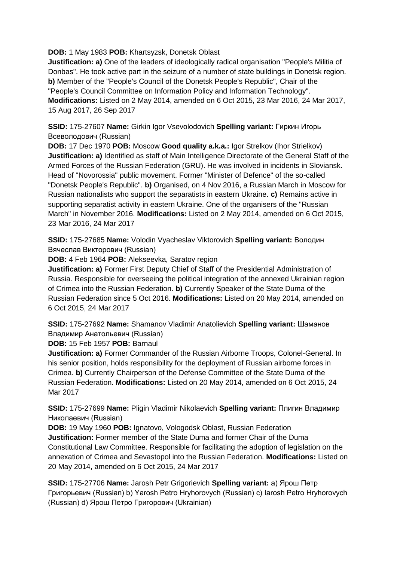**DOB:** 1 May 1983 **POB:** Khartsyzsk, Donetsk Oblast

**Justification: a)** One of the leaders of ideologically radical organisation "People's Militia of Donbas". He took active part in the seizure of a number of state buildings in Donetsk region. **b)** Member of the "People's Council of the Donetsk People's Republic", Chair of the "People's Council Committee on Information Policy and Information Technology". **Modifications:** Listed on 2 May 2014, amended on 6 Oct 2015, 23 Mar 2016, 24 Mar 2017, 15 Aug 2017, 26 Sep 2017

**SSID:** 175-27607 **Name:** Girkin Igor Vsevolodovich **Spelling variant:** Гиркин Игорь Всеволодович (Russian)

**DOB:** 17 Dec 1970 **POB:** Moscow **Good quality a.k.a.:** Igor Strelkov (Ihor Strielkov) **Justification: a)** Identified as staff of Main Intelligence Directorate of the General Staff of the Armed Forces of the Russian Federation (GRU). He was involved in incidents in Sloviansk. Head of "Novorossia" public movement. Former "Minister of Defence" of the so-called "Donetsk People's Republic". **b)** Organised, on 4 Nov 2016, a Russian March in Moscow for Russian nationalists who support the separatists in eastern Ukraine. **c)** Remains active in supporting separatist activity in eastern Ukraine. One of the organisers of the "Russian March" in November 2016. **Modifications:** Listed on 2 May 2014, amended on 6 Oct 2015, 23 Mar 2016, 24 Mar 2017

**SSID:** 175-27685 **Name:** Volodin Vyacheslav Viktorovich **Spelling variant:** Володин Вячеслав Викторович (Russian)

**DOB:** 4 Feb 1964 **POB:** Alekseevka, Saratov region

**Justification: a)** Former First Deputy Chief of Staff of the Presidential Administration of Russia. Responsible for overseeing the political integration of the annexed Ukrainian region of Crimea into the Russian Federation. **b)** Currently Speaker of the State Duma of the Russian Federation since 5 Oct 2016. **Modifications:** Listed on 20 May 2014, amended on 6 Oct 2015, 24 Mar 2017

**SSID:** 175-27692 **Name:** Shamanov Vladimir Anatolievich **Spelling variant:** Шаманов Владимир Анатольевич (Russian)

**DOB:** 15 Feb 1957 **POB:** Barnaul

**Justification: a)** Former Commander of the Russian Airborne Troops, Colonel-General. In his senior position, holds responsibility for the deployment of Russian airborne forces in Crimea. **b)** Currently Chairperson of the Defense Committee of the State Duma of the Russian Federation. **Modifications:** Listed on 20 May 2014, amended on 6 Oct 2015, 24 Mar 2017

**SSID:** 175-27699 **Name:** Pligin Vladimir Nikolaevich **Spelling variant:** Плигин Владимир Николаевич (Russian)

**DOB:** 19 May 1960 **POB:** Ignatovo, Vologodsk Oblast, Russian Federation **Justification:** Former member of the State Duma and former Chair of the Duma Constitutional Law Committee. Responsible for facilitating the adoption of legislation on the annexation of Crimea and Sevastopol into the Russian Federation. **Modifications:** Listed on 20 May 2014, amended on 6 Oct 2015, 24 Mar 2017

**SSID:** 175-27706 **Name:** Jarosh Petr Grigorievich **Spelling variant:** a) Ярош Петр Григорьевич (Russian) b) Yarosh Petro Hryhorovych (Russian) c) Iarosh Petro Hryhorovych (Russian) d) Ярош Петро Григорович (Ukrainian)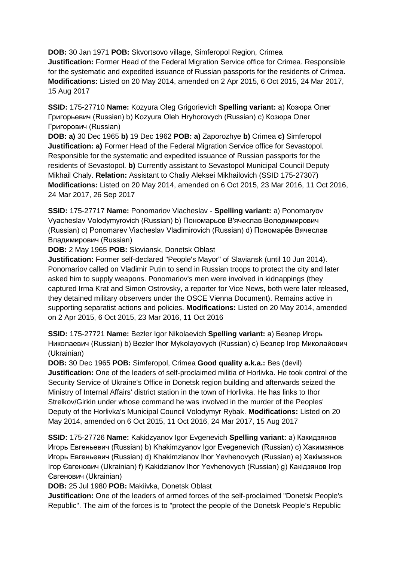**DOB:** 30 Jan 1971 **POB:** Skvortsovo village, Simferopol Region, Crimea **Justification:** Former Head of the Federal Migration Service office for Crimea. Responsible for the systematic and expedited issuance of Russian passports for the residents of Crimea. **Modifications:** Listed on 20 May 2014, amended on 2 Apr 2015, 6 Oct 2015, 24 Mar 2017, 15 Aug 2017

**SSID:** 175-27710 **Name:** Kozyura Oleg Grigorievich **Spelling variant:** a) Козюра Олег Григорьевич (Russian) b) Kozyura Oleh Hryhorovych (Russian) c) Козюра Олег Григорович (Russian)

**DOB: a)** 30 Dec 1965 **b)** 19 Dec 1962 **POB: a)** Zaporozhye **b)** Crimea **c)** Simferopol **Justification: a)** Former Head of the Federal Migration Service office for Sevastopol. Responsible for the systematic and expedited issuance of Russian passports for the residents of Sevastopol. **b)** Currently assistant to Sevastopol Municipal Council Deputy Mikhail Chaly. **Relation:** Assistant to Chaliy Aleksei Mikhailovich (SSID 175-27307) **Modifications:** Listed on 20 May 2014, amended on 6 Oct 2015, 23 Mar 2016, 11 Oct 2016, 24 Mar 2017, 26 Sep 2017

**SSID:** 175-27717 **Name:** Ponomariov Viacheslav - **Spelling variant:** a) Ponomaryov Vyacheslav Volodymyrovich (Russian) b) Пономарьов В'ячеслав Володимирович (Russian) c) Ponomarev Viacheslav Vladimirovich (Russian) d) Пономарёв Вячеслав Владимирович (Russian)

**DOB:** 2 May 1965 **POB:** Sloviansk, Donetsk Oblast

**Justification:** Former self-declared "People's Mayor" of Slaviansk (until 10 Jun 2014). Ponomariov called on Vladimir Putin to send in Russian troops to protect the city and later asked him to supply weapons. Ponomariov's men were involved in kidnappings (they captured Irma Krat and Simon Ostrovsky, a reporter for Vice News, both were later released, they detained military observers under the OSCE Vienna Document). Remains active in supporting separatist actions and policies. **Modifications:** Listed on 20 May 2014, amended on 2 Apr 2015, 6 Oct 2015, 23 Mar 2016, 11 Oct 2016

**SSID:** 175-27721 **Name:** Bezler Igor Nikolaevich **Spelling variant:** a) Безлер Игорь Николаевич (Russian) b) Bezler Ihor Mykolayovych (Russian) c) Безлер Iгор Миколайович (Ukrainian)

**DOB:** 30 Dec 1965 **POB:** Simferopol, Crimea **Good quality a.k.a.:** Bes (devil) **Justification:** One of the leaders of self-proclaimed militia of Horlivka. He took control of the Security Service of Ukraine's Office in Donetsk region building and afterwards seized the Ministry of Internal Affairs' district station in the town of Horlivka. He has links to Ihor Strelkov/Girkin under whose command he was involved in the murder of the Peoples' Deputy of the Horlivka's Municipal Council Volodymyr Rybak. **Modifications:** Listed on 20 May 2014, amended on 6 Oct 2015, 11 Oct 2016, 24 Mar 2017, 15 Aug 2017

**SSID:** 175-27726 **Name:** Kakidzyanov Igor Evgenevich **Spelling variant:** a) Какидзянов Игорь Евгеньевич (Russian) b) Khakimzyanov Igor Evegenevich (Russian) c) Хакимзянов Игорь Евгеньевич (Russian) d) Khakimzianov Ihor Yevhenovych (Russian) e) Хакiмзянов Iгор Євгенович (Ukrainian) f) Kakidzianov Ihor Yevhenovych (Russian) g) Какiдзянов Iгор Євгенович (Ukrainian)

**DOB:** 25 Jul 1980 **POB:** Makiivka, Donetsk Oblast

**Justification:** One of the leaders of armed forces of the self-proclaimed "Donetsk People's Republic". The aim of the forces is to "protect the people of the Donetsk People's Republic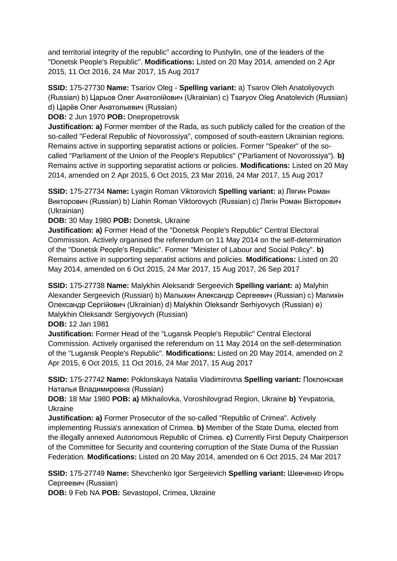and territorial integrity of the republic" according to Pushylin, one of the leaders of the "Donetsk People's Republic". **Modifications:** Listed on 20 May 2014, amended on 2 Apr 2015, 11 Oct 2016, 24 Mar 2017, 15 Aug 2017

**SSID:** 175-27730 **Name:** Tsariov Oleg - **Spelling variant:** a) Tsarov Oleh Anatoliyovych (Russian) b) Царьов Олег Анатолійович (Ukrainian) c) Tsaryov Oleg Anatolevich (Russian) d) Царёв Олег Анатольевич (Russian)

**DOB:** 2 Jun 1970 **POB:** Dnepropetrovsk

**Justification: a)** Former member of the Rada, as such publicly called for the creation of the so-called "Federal Republic of Novorossiya", composed of south-eastern Ukrainian regions. Remains active in supporting separatist actions or policies. Former "Speaker" of the socalled "Parliament of the Union of the People's Republics" ("Parliament of Novorossiya"). **b)**  Remains active in supporting separatist actions or policies. **Modifications:** Listed on 20 May 2014, amended on 2 Apr 2015, 6 Oct 2015, 23 Mar 2016, 24 Mar 2017, 15 Aug 2017

**SSID:** 175-27734 **Name:** Lyagin Roman Viktorovich **Spelling variant:** a) Лягин Роман Викторович (Russian) b) Liahin Roman Viktorovych (Russian) c) Лягiн Роман Вікторович (Ukrainian)

**DOB:** 30 May 1980 **POB:** Donetsk, Ukraine

**Justification: a)** Former Head of the "Donetsk People's Republic" Central Electoral Commission. Actively organised the referendum on 11 May 2014 on the self-determination of the "Donetsk People's Republic". Former "Minister of Labour and Social Policy". **b)**  Remains active in supporting separatist actions and policies. **Modifications:** Listed on 20 May 2014, amended on 6 Oct 2015, 24 Mar 2017, 15 Aug 2017, 26 Sep 2017

**SSID:** 175-27738 **Name:** Malykhin Aleksandr Sergeevich **Spelling variant:** a) Malyhin Alexander Sergeevich (Russian) b) Малыхин Александр Сергеевич (Russian) c) Малихін Олександр Сергійович (Ukrainian) d) Malykhin Oleksandr Serhiyovych (Russian) e) Malykhin Oleksandr Sergiyovych (Russian)

**DOB:** 12 Jan 1981

**Justification:** Former Head of the "Lugansk People's Republic" Central Electoral Commission. Actively organised the referendum on 11 May 2014 on the self-determination of the "Lugansk People's Republic". **Modifications:** Listed on 20 May 2014, amended on 2 Apr 2015, 6 Oct 2015, 11 Oct 2016, 24 Mar 2017, 15 Aug 2017

**SSID:** 175-27742 **Name:** Poklonskaya Natalia Vladimirovna **Spelling variant:** Поклонская Наталья Владимировна (Russian)

**DOB:** 18 Mar 1980 **POB: a)** Mikhailovka, Voroshilovgrad Region, Ukraine **b)** Yevpatoria, Ukraine

**Justification: a)** Former Prosecutor of the so-called "Republic of Crimea". Actively implementing Russia's annexation of Crimea. **b)** Member of the State Duma, elected from the illegally annexed Autonomous Republic of Crimea. **c)** Currently First Deputy Chairperson of the Committee for Security and countering corruption of the State Duma of the Russian Federation. **Modifications:** Listed on 20 May 2014, amended on 6 Oct 2015, 24 Mar 2017

**SSID:** 175-27749 **Name:** Shevchenko Igor Sergeievich **Spelling variant:** Шевченко Игорь Сергеевич (Russian)

**DOB:** 9 Feb NA **POB:** Sevastopol, Crimea, Ukraine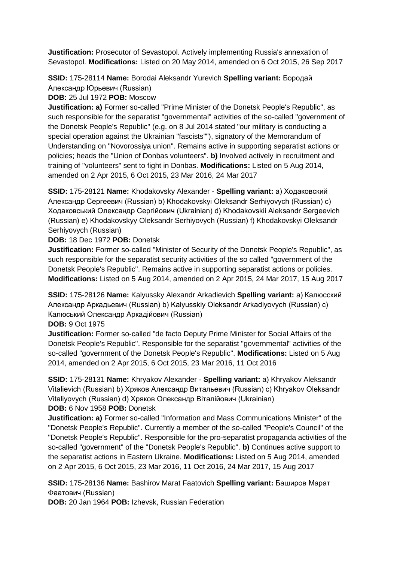**Justification:** Prosecutor of Sevastopol. Actively implementing Russia's annexation of Sevastopol. **Modifications:** Listed on 20 May 2014, amended on 6 Oct 2015, 26 Sep 2017

**SSID:** 175-28114 **Name:** Borodai Aleksandr Yurevich **Spelling variant:** Бородай Александр Юрьевич (Russian)

**DOB:** 25 Jul 1972 **POB:** Moscow

**Justification: a)** Former so-called "Prime Minister of the Donetsk People's Republic", as such responsible for the separatist "governmental" activities of the so-called "government of the Donetsk People's Republic" (e.g. on 8 Jul 2014 stated "our military is conducting a special operation against the Ukrainian "fascists""), signatory of the Memorandum of Understanding on "Novorossiya union". Remains active in supporting separatist actions or policies; heads the "Union of Donbas volunteers". **b)** Involved actively in recruitment and training of "volunteers" sent to fight in Donbas. **Modifications:** Listed on 5 Aug 2014, amended on 2 Apr 2015, 6 Oct 2015, 23 Mar 2016, 24 Mar 2017

**SSID:** 175-28121 **Name:** Khodakovsky Alexander - **Spelling variant:** a) Ходаковский Александр Сергеевич (Russian) b) Khodakovskyi Oleksandr Serhiyovych (Russian) c) Ходаковський Олександр Сергійович (Ukrainian) d) Khodakovskii Aleksandr Sergeevich (Russian) e) Khodakovskyy Oleksandr Serhiyovych (Russian) f) Khodakovskyi Oleksandr Serhiyovych (Russian)

**DOB:** 18 Dec 1972 **POB:** Donetsk

**Justification:** Former so-called "Minister of Security of the Donetsk People's Republic", as such responsible for the separatist security activities of the so called "government of the Donetsk People's Republic". Remains active in supporting separatist actions or policies. **Modifications:** Listed on 5 Aug 2014, amended on 2 Apr 2015, 24 Mar 2017, 15 Aug 2017

**SSID:** 175-28126 **Name:** Kalyussky Alexandr Arkadievich **Spelling variant:** a) Калюсский Александр Аркадьевич (Russian) b) Kalyusskiy Oleksandr Arkadiyovych (Russian) c) Калюський Олександр Аркадійович (Russian)

**DOB:** 9 Oct 1975

**Justification:** Former so-called "de facto Deputy Prime Minister for Social Affairs of the Donetsk People's Republic". Responsible for the separatist "governmental" activities of the so-called "government of the Donetsk People's Republic". **Modifications:** Listed on 5 Aug 2014, amended on 2 Apr 2015, 6 Oct 2015, 23 Mar 2016, 11 Oct 2016

**SSID:** 175-28131 **Name:** Khryakov Alexander - **Spelling variant:** a) Khryakov Aleksandr Vitalievich (Russian) b) Хряков Александр Витальевич (Russian) c) Khryakov Oleksandr Vitaliyovych (Russian) d) Хряков Олександр Віталійович (Ukrainian) **DOB:** 6 Nov 1958 **POB:** Donetsk

**Justification: a)** Former so-called "Information and Mass Communications Minister" of the "Donetsk People's Republic". Currently a member of the so-called "People's Council" of the "Donetsk People's Republic". Responsible for the pro-separatist propaganda activities of the so-called "government" of the "Donetsk People's Republic". **b)** Continues active support to the separatist actions in Eastern Ukraine. **Modifications:** Listed on 5 Aug 2014, amended on 2 Apr 2015, 6 Oct 2015, 23 Mar 2016, 11 Oct 2016, 24 Mar 2017, 15 Aug 2017

**SSID:** 175-28136 **Name:** Bashirov Marat Faatovich **Spelling variant:** Баширов Марат Фаатович (Russian)

**DOB:** 20 Jan 1964 **POB:** Izhevsk, Russian Federation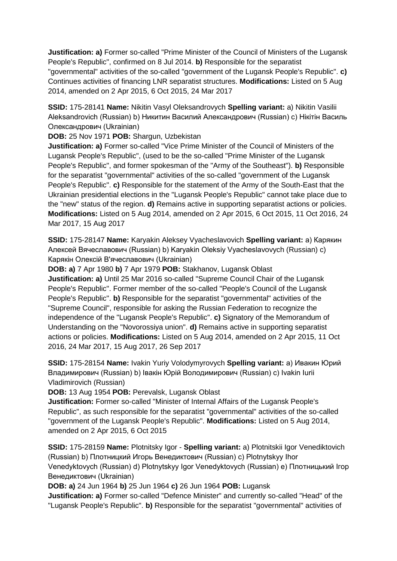**Justification: a)** Former so-called "Prime Minister of the Council of Ministers of the Lugansk People's Republic", confirmed on 8 Jul 2014. **b)** Responsible for the separatist "governmental" activities of the so-called "government of the Lugansk People's Republic". **c)**  Continues activities of financing LNR separatist structures. **Modifications:** Listed on 5 Aug 2014, amended on 2 Apr 2015, 6 Oct 2015, 24 Mar 2017

**SSID:** 175-28141 **Name:** Nikitin Vasyl Oleksandrovych **Spelling variant:** a) Nikitin Vasilii Aleksandrovich (Russian) b) Никитин Василий Александрович (Russian) c) Нікітін Василь Олександрович (Ukrainian)

**DOB:** 25 Nov 1971 **POB:** Shargun, Uzbekistan

**Justification: a)** Former so-called "Vice Prime Minister of the Council of Ministers of the Lugansk People's Republic", (used to be the so-called "Prime Minister of the Lugansk People's Republic", and former spokesman of the "Army of the Southeast"). **b)** Responsible for the separatist "governmental" activities of the so-called "government of the Lugansk People's Republic". **c)** Responsible for the statement of the Army of the South-East that the Ukrainian presidential elections in the "Lugansk People's Republic" cannot take place due to the "new" status of the region. **d)** Remains active in supporting separatist actions or policies. **Modifications:** Listed on 5 Aug 2014, amended on 2 Apr 2015, 6 Oct 2015, 11 Oct 2016, 24 Mar 2017, 15 Aug 2017

**SSID:** 175-28147 **Name:** Karyakin Aleksey Vyacheslavovich **Spelling variant:** a) Карякин Алексей Вячеславович (Russian) b) Karyakin Oleksiy Vyacheslavovych (Russian) c) Карякiн Олексій В'ячеславович (Ukrainian)

**DOB: a)** 7 Apr 1980 **b)** 7 Apr 1979 **POB:** Stakhanov, Lugansk Oblast **Justification: a)** Until 25 Mar 2016 so-called "Supreme Council Chair of the Lugansk People's Republic". Former member of the so-called "People's Council of the Lugansk People's Republic". **b)** Responsible for the separatist "governmental" activities of the "Supreme Council", responsible for asking the Russian Federation to recognize the independence of the "Lugansk People's Republic". **c)** Signatory of the Memorandum of Understanding on the "Novorossiya union". **d)** Remains active in supporting separatist actions or policies. **Modifications:** Listed on 5 Aug 2014, amended on 2 Apr 2015, 11 Oct 2016, 24 Mar 2017, 15 Aug 2017, 26 Sep 2017

**SSID:** 175-28154 **Name:** Ivakin Yuriy Volodymyrovych **Spelling variant:** a) Ивакин Юрий Владимирович (Russian) b) Івакін Юрій Володимирович (Russian) c) Ivakin Iurii Vladimirovich (Russian)

**DOB:** 13 Aug 1954 **POB:** Perevalsk, Lugansk Oblast

**Justification:** Former so-called "Minister of Internal Affairs of the Lugansk People's Republic", as such responsible for the separatist "governmental" activities of the so-called "government of the Lugansk People's Republic". **Modifications:** Listed on 5 Aug 2014, amended on 2 Apr 2015, 6 Oct 2015

**SSID:** 175-28159 **Name:** Plotnitsky Igor - **Spelling variant:** a) Plotnitskii Igor Venediktovich (Russian) b) Плотницкий Игорь Венедиктович (Russian) c) Plotnytskyy Ihor Venedyktovych (Russian) d) Plotnytskyy Igor Venedyktovych (Russian) e) Плотницький Iгор Венедиктович (Ukrainian)

**DOB: a)** 24 Jun 1964 **b)** 25 Jun 1964 **c)** 26 Jun 1964 **POB:** Lugansk

**Justification: a)** Former so-called "Defence Minister" and currently so-called "Head" of the "Lugansk People's Republic". **b)** Responsible for the separatist "governmental" activities of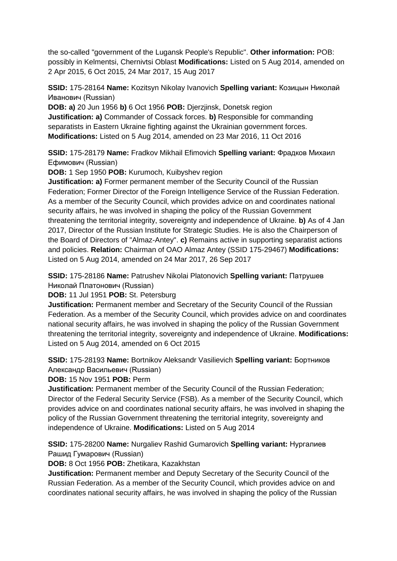the so-called "government of the Lugansk People's Republic". **Other information:** POB: possibly in Kelmentsi, Chernivtsi Oblast **Modifications:** Listed on 5 Aug 2014, amended on 2 Apr 2015, 6 Oct 2015, 24 Mar 2017, 15 Aug 2017

**SSID:** 175-28164 **Name:** Kozitsyn Nikolay Ivanovich **Spelling variant:** Козицын Николай Иванович (Russian)

**DOB: a)** 20 Jun 1956 **b)** 6 Oct 1956 **POB:** Djerzjinsk, Donetsk region **Justification: a)** Commander of Cossack forces. **b)** Responsible for commanding separatists in Eastern Ukraine fighting against the Ukrainian government forces. **Modifications:** Listed on 5 Aug 2014, amended on 23 Mar 2016, 11 Oct 2016

**SSID:** 175-28179 **Name:** Fradkov Mikhail Efimovich **Spelling variant:** Фрадков Михаил Ефимович (Russian)

**DOB:** 1 Sep 1950 **POB:** Kurumoch, Kuibyshev region

**Justification: a)** Former permanent member of the Security Council of the Russian Federation; Former Director of the Foreign Intelligence Service of the Russian Federation. As a member of the Security Council, which provides advice on and coordinates national security affairs, he was involved in shaping the policy of the Russian Government threatening the territorial integrity, sovereignty and independence of Ukraine. **b)** As of 4 Jan 2017, Director of the Russian Institute for Strategic Studies. He is also the Chairperson of the Board of Directors of "Almaz-Antey". **c)** Remains active in supporting separatist actions and policies. **Relation:** Chairman of OAO Almaz Antey (SSID 175-29467) **Modifications:**  Listed on 5 Aug 2014, amended on 24 Mar 2017, 26 Sep 2017

**SSID:** 175-28186 **Name:** Patrushev Nikolai Platonovich **Spelling variant:** Патрушев Николай Платонович (Russian)

**DOB:** 11 Jul 1951 **POB:** St. Petersburg

**Justification:** Permanent member and Secretary of the Security Council of the Russian Federation. As a member of the Security Council, which provides advice on and coordinates national security affairs, he was involved in shaping the policy of the Russian Government threatening the territorial integrity, sovereignty and independence of Ukraine. **Modifications:**  Listed on 5 Aug 2014, amended on 6 Oct 2015

**SSID:** 175-28193 **Name:** Bortnikov Aleksandr Vasilievich **Spelling variant:** Бортников Александр Васильевич (Russian)

**DOB:** 15 Nov 1951 **POB:** Perm

**Justification:** Permanent member of the Security Council of the Russian Federation; Director of the Federal Security Service (FSB). As a member of the Security Council, which provides advice on and coordinates national security affairs, he was involved in shaping the policy of the Russian Government threatening the territorial integrity, sovereignty and independence of Ukraine. **Modifications:** Listed on 5 Aug 2014

**SSID:** 175-28200 **Name:** Nurgaliev Rashid Gumarovich **Spelling variant:** Нургалиев Рашид Гумарович (Russian)

**DOB:** 8 Oct 1956 **POB:** Zhetikara, Kazakhstan

**Justification:** Permanent member and Deputy Secretary of the Security Council of the Russian Federation. As a member of the Security Council, which provides advice on and coordinates national security affairs, he was involved in shaping the policy of the Russian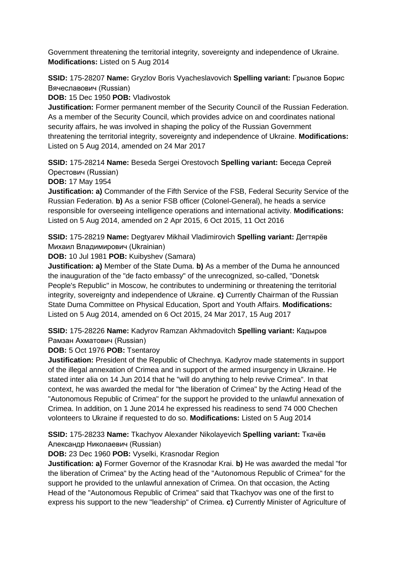Government threatening the territorial integrity, sovereignty and independence of Ukraine. **Modifications:** Listed on 5 Aug 2014

**SSID:** 175-28207 **Name:** Gryzlov Boris Vyacheslavovich **Spelling variant:** Грызлов Борис Вячеславович (Russian)

**DOB:** 15 Dec 1950 **POB:** Vladivostok

**Justification:** Former permanent member of the Security Council of the Russian Federation. As a member of the Security Council, which provides advice on and coordinates national security affairs, he was involved in shaping the policy of the Russian Government threatening the territorial integrity, sovereignty and independence of Ukraine. **Modifications:**  Listed on 5 Aug 2014, amended on 24 Mar 2017

**SSID:** 175-28214 **Name:** Beseda Sergei Orestovoch **Spelling variant:** Беседа Сергей Орестович (Russian)

**DOB:** 17 May 1954

**Justification: a)** Commander of the Fifth Service of the FSB, Federal Security Service of the Russian Federation. **b)** As a senior FSB officer (Colonel-General), he heads a service responsible for overseeing intelligence operations and international activity. **Modifications:**  Listed on 5 Aug 2014, amended on 2 Apr 2015, 6 Oct 2015, 11 Oct 2016

**SSID:** 175-28219 **Name:** Degtyarev Mikhail Vladimirovich **Spelling variant:** Дегтярёв Михаил Владимирович (Ukrainian)

**DOB:** 10 Jul 1981 **POB:** Kuibyshev (Samara)

**Justification: a)** Member of the State Duma. **b)** As a member of the Duma he announced the inauguration of the "de facto embassy" of the unrecognized, so-called, "Donetsk People's Republic" in Moscow, he contributes to undermining or threatening the territorial integrity, sovereignty and independence of Ukraine. **c)** Currently Chairman of the Russian State Duma Committee on Physical Education, Sport and Youth Affairs. **Modifications:**  Listed on 5 Aug 2014, amended on 6 Oct 2015, 24 Mar 2017, 15 Aug 2017

**SSID:** 175-28226 **Name:** Kadyrov Ramzan Akhmadovitch **Spelling variant:** Кадыров Рамзан Ахматович (Russian)

**DOB:** 5 Oct 1976 **POB:** Tsentaroy

**Justification:** President of the Republic of Chechnya. Kadyrov made statements in support of the illegal annexation of Crimea and in support of the armed insurgency in Ukraine. He stated inter alia on 14 Jun 2014 that he "will do anything to help revive Crimea". In that context, he was awarded the medal for "the liberation of Crimea" by the Acting Head of the "Autonomous Republic of Crimea" for the support he provided to the unlawful annexation of Crimea. In addition, on 1 June 2014 he expressed his readiness to send 74 000 Chechen volonteers to Ukraine if requested to do so. **Modifications:** Listed on 5 Aug 2014

**SSID:** 175-28233 **Name:** Tkachyov Alexander Nikolayevich **Spelling variant:** Ткачёв Александр Николаевич (Russian)

**DOB:** 23 Dec 1960 **POB:** Vyselki, Krasnodar Region

**Justification: a)** Former Governor of the Krasnodar Krai. **b)** He was awarded the medal "for the liberation of Crimea" by the Acting head of the "Autonomous Republic of Crimea" for the support he provided to the unlawful annexation of Crimea. On that occasion, the Acting Head of the "Autonomous Republic of Crimea" said that Tkachyov was one of the first to express his support to the new "leadership" of Crimea. **c)** Currently Minister of Agriculture of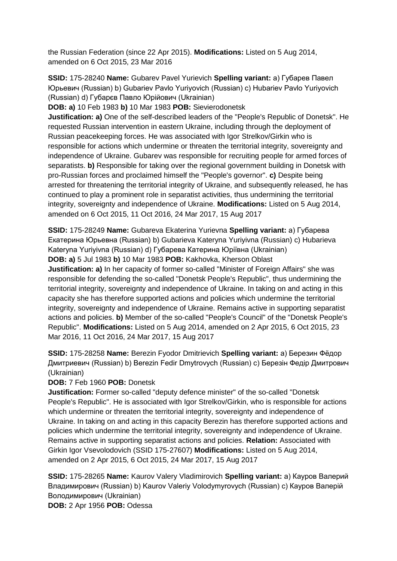the Russian Federation (since 22 Apr 2015). **Modifications:** Listed on 5 Aug 2014, amended on 6 Oct 2015, 23 Mar 2016

**SSID:** 175-28240 **Name:** Gubarev Pavel Yurievich **Spelling variant:** a) Губарев Павел Юрьевич (Russian) b) Gubariev Pavlo Yuriyovich (Russian) c) Hubariev Pavlo Yuriyovich (Russian) d) Губарєв Павло Юрійович (Ukrainian)

**DOB: a)** 10 Feb 1983 **b)** 10 Mar 1983 **POB:** Sievierodonetsk

**Justification: a)** One of the self-described leaders of the "People's Republic of Donetsk". He requested Russian intervention in eastern Ukraine, including through the deployment of Russian peacekeeping forces. He was associated with Igor Strelkov/Girkin who is responsible for actions which undermine or threaten the territorial integrity, sovereignty and independence of Ukraine. Gubarev was responsible for recruiting people for armed forces of separatists. **b)** Responsible for taking over the regional government building in Donetsk with pro-Russian forces and proclaimed himself the "People's governor". **c)** Despite being arrested for threatening the territorial integrity of Ukraine, and subsequently released, he has continued to play a prominent role in separatist activities, thus undermining the territorial integrity, sovereignty and independence of Ukraine. **Modifications:** Listed on 5 Aug 2014, amended on 6 Oct 2015, 11 Oct 2016, 24 Mar 2017, 15 Aug 2017

**SSID:** 175-28249 **Name:** Gubareva Ekaterina Yurievna **Spelling variant:** a) Губарева Екатерина Юрьевна (Russian) b) Gubarieva Kateryna Yuriyivna (Russian) c) Hubarieva Kateryna Yuriyivna (Russian) d) Губарева Катерина Юріївна (Ukrainian)

**DOB: a)** 5 Jul 1983 **b)** 10 Mar 1983 **POB:** Kakhovka, Kherson Oblast

**Justification: a)** In her capacity of former so-called "Minister of Foreign Affairs" she was responsible for defending the so-called "Donetsk People's Republic", thus undermining the territorial integrity, sovereignty and independence of Ukraine. In taking on and acting in this capacity she has therefore supported actions and policies which undermine the territorial integrity, sovereignty and independence of Ukraine. Remains active in supporting separatist actions and policies. **b)** Member of the so-called "People's Council" of the "Donetsk People's Republic". **Modifications:** Listed on 5 Aug 2014, amended on 2 Apr 2015, 6 Oct 2015, 23 Mar 2016, 11 Oct 2016, 24 Mar 2017, 15 Aug 2017

**SSID:** 175-28258 **Name:** Berezin Fyodor Dmitrievich **Spelling variant:** a) Березин Фёдор Дмитриевич (Russian) b) Berezin Fedir Dmytrovych (Russian) c) Березін Федір Дмитрович (Ukrainian)

**DOB:** 7 Feb 1960 **POB:** Donetsk

**Justification:** Former so-called "deputy defence minister" of the so-called "Donetsk People's Republic". He is associated with Igor Strelkov/Girkin, who is responsible for actions which undermine or threaten the territorial integrity, sovereignty and independence of Ukraine. In taking on and acting in this capacity Berezin has therefore supported actions and policies which undermine the territorial integrity, sovereignty and independence of Ukraine. Remains active in supporting separatist actions and policies. **Relation:** Associated with Girkin Igor Vsevolodovich (SSID 175-27607) **Modifications:** Listed on 5 Aug 2014, amended on 2 Apr 2015, 6 Oct 2015, 24 Mar 2017, 15 Aug 2017

**SSID:** 175-28265 **Name:** Kaurov Valery Vladimirovich **Spelling variant:** a) Кауров Валерий Владимирович (Russian) b) Kaurov Valeriy Volodymyrovych (Russian) c) Кауров Валерій Володимирович (Ukrainian)

**DOB:** 2 Apr 1956 **POB:** Odessa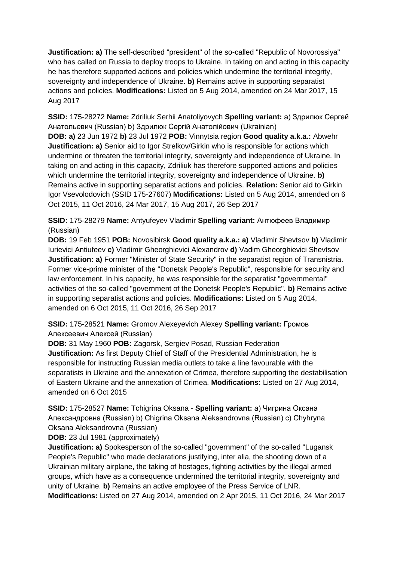**Justification: a)** The self-described "president" of the so-called "Republic of Novorossiya" who has called on Russia to deploy troops to Ukraine. In taking on and acting in this capacity he has therefore supported actions and policies which undermine the territorial integrity, sovereignty and independence of Ukraine. **b)** Remains active in supporting separatist actions and policies. **Modifications:** Listed on 5 Aug 2014, amended on 24 Mar 2017, 15 Aug 2017

**SSID:** 175-28272 **Name:** Zdriliuk Serhii Anatoliyovych **Spelling variant:** a) Здрилюк Сергей Анатольевич (Russian) b) Здрилюк Сергій Анатолійович (Ukrainian) **DOB: a)** 23 Jun 1972 **b)** 23 Jul 1972 **POB:** Vinnytsia region **Good quality a.k.a.:** Abwehr **Justification: a)** Senior aid to Igor Strelkov/Girkin who is responsible for actions which undermine or threaten the territorial integrity, sovereignty and independence of Ukraine. In taking on and acting in this capacity, Zdriliuk has therefore supported actions and policies which undermine the territorial integrity, sovereignty and independence of Ukraine. **b)**  Remains active in supporting separatist actions and policies. **Relation:** Senior aid to Girkin Igor Vsevolodovich (SSID 175-27607) **Modifications:** Listed on 5 Aug 2014, amended on 6 Oct 2015, 11 Oct 2016, 24 Mar 2017, 15 Aug 2017, 26 Sep 2017

**SSID:** 175-28279 **Name:** Antyufeyev Vladimir **Spelling variant:** Антюфеев Владимир (Russian)

**DOB:** 19 Feb 1951 **POB:** Novosibirsk **Good quality a.k.a.: a)** Vladimir Shevtsov **b)** Vladimir Iurievici Antiufeev **c)** Vladimir Gheorghievici Alexandrov **d)** Vadim Gheorghievici Shevtsov **Justification: a)** Former "Minister of State Security" in the separatist region of Transnistria. Former vice-prime minister of the "Donetsk People's Republic", responsible for security and law enforcement. In his capacity, he was responsible for the separatist "governmental" activities of the so-called "government of the Donetsk People's Republic". **b)** Remains active in supporting separatist actions and policies. **Modifications:** Listed on 5 Aug 2014, amended on 6 Oct 2015, 11 Oct 2016, 26 Sep 2017

**SSID:** 175-28521 **Name:** Gromov Alexeyevich Alexey **Spelling variant:** Громов Алексеевич Алексей (Russian)

**DOB:** 31 May 1960 **POB:** Zagorsk, Sergiev Posad, Russian Federation **Justification:** As first Deputy Chief of Staff of the Presidential Administration, he is responsible for instructing Russian media outlets to take a line favourable with the separatists in Ukraine and the annexation of Crimea, therefore supporting the destabilisation of Eastern Ukraine and the annexation of Crimea. **Modifications:** Listed on 27 Aug 2014, amended on 6 Oct 2015

**SSID:** 175-28527 **Name:** Tchigrina Oksana - **Spelling variant:** a) Чигрина Оксана Александровна (Russian) b) Chigrina Oksana Aleksandrovna (Russian) c) Chyhryna Oksana Aleksandrovna (Russian)

**DOB:** 23 Jul 1981 (approximately)

**Justification: a)** Spokesperson of the so-called "government" of the so-called "Lugansk People's Republic" who made declarations justifying, inter alia, the shooting down of a Ukrainian military airplane, the taking of hostages, fighting activities by the illegal armed groups, which have as a consequence undermined the territorial integrity, sovereignty and unity of Ukraine. **b)** Remains an active employee of the Press Service of LNR. **Modifications:** Listed on 27 Aug 2014, amended on 2 Apr 2015, 11 Oct 2016, 24 Mar 2017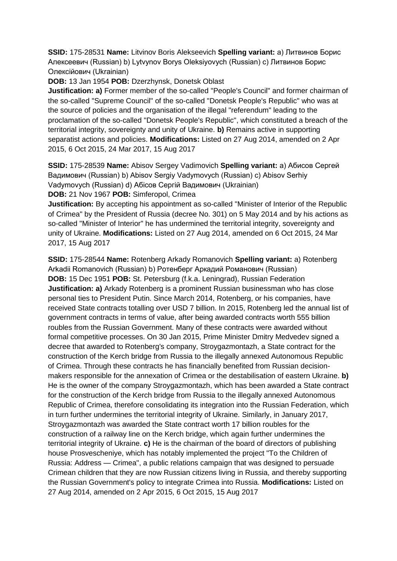**SSID:** 175-28531 **Name:** Litvinov Boris Alekseevich **Spelling variant:** a) Литвинов Борис Алексеевич (Russian) b) Lytvynov Borys Oleksiyovych (Russian) c) Литвинов Борис Олексійович (Ukrainian)

**DOB:** 13 Jan 1954 **POB:** Dzerzhynsk, Donetsk Oblast

**Justification: a)** Former member of the so-called "People's Council" and former chairman of the so-called "Supreme Council" of the so-called "Donetsk People's Republic" who was at the source of policies and the organisation of the illegal "referendum" leading to the proclamation of the so-called "Donetsk People's Republic", which constituted a breach of the territorial integrity, sovereignty and unity of Ukraine. **b)** Remains active in supporting separatist actions and policies. **Modifications:** Listed on 27 Aug 2014, amended on 2 Apr 2015, 6 Oct 2015, 24 Mar 2017, 15 Aug 2017

**SSID:** 175-28539 **Name:** Abisov Sergey Vadimovich **Spelling variant:** a) Абисов Сергей Вадимович (Russian) b) Abisov Sergiy Vadymovych (Russian) c) Abisov Serhiy Vadymovych (Russian) d) Абiсов Сергій Вадимович (Ukrainian) **DOB:** 21 Nov 1967 **POB:** Simferopol, Crimea

**Justification:** By accepting his appointment as so-called "Minister of Interior of the Republic of Crimea" by the President of Russia (decree No. 301) on 5 May 2014 and by his actions as so-called "Minister of Interior" he has undermined the territorial integrity, sovereignty and unity of Ukraine. **Modifications:** Listed on 27 Aug 2014, amended on 6 Oct 2015, 24 Mar 2017, 15 Aug 2017

**SSID:** 175-28544 **Name:** Rotenberg Arkady Romanovich **Spelling variant:** a) Rotenberg Arkadii Romanovich (Russian) b) Ротенберг Аркадий Романович (Russian) **DOB:** 15 Dec 1951 **POB:** St. Petersburg (f.k.a. Leningrad), Russian Federation **Justification: a)** Arkady Rotenberg is a prominent Russian businessman who has close personal ties to President Putin. Since March 2014, Rotenberg, or his companies, have received State contracts totalling over USD 7 billion. In 2015, Rotenberg led the annual list of government contracts in terms of value, after being awarded contracts worth 555 billion roubles from the Russian Government. Many of these contracts were awarded without formal competitive processes. On 30 Jan 2015, Prime Minister Dmitry Medvedev signed a decree that awarded to Rotenberg's company, Stroygazmontazh, a State contract for the construction of the Kerch bridge from Russia to the illegally annexed Autonomous Republic of Crimea. Through these contracts he has financially benefited from Russian decisionmakers responsible for the annexation of Crimea or the destabilisation of eastern Ukraine. **b)**  He is the owner of the company Stroygazmontazh, which has been awarded a State contract for the construction of the Kerch bridge from Russia to the illegally annexed Autonomous Republic of Crimea, therefore consolidating its integration into the Russian Federation, which in turn further undermines the territorial integrity of Ukraine. Similarly, in January 2017, Stroygazmontazh was awarded the State contract worth 17 billion roubles for the construction of a railway line on the Kerch bridge, which again further undermines the territorial integrity of Ukraine. **c)** He is the chairman of the board of directors of publishing house Prosvescheniye, which has notably implemented the project "To the Children of Russia: Address — Crimea", a public relations campaign that was designed to persuade Crimean children that they are now Russian citizens living in Russia, and thereby supporting the Russian Government's policy to integrate Crimea into Russia. **Modifications:** Listed on 27 Aug 2014, amended on 2 Apr 2015, 6 Oct 2015, 15 Aug 2017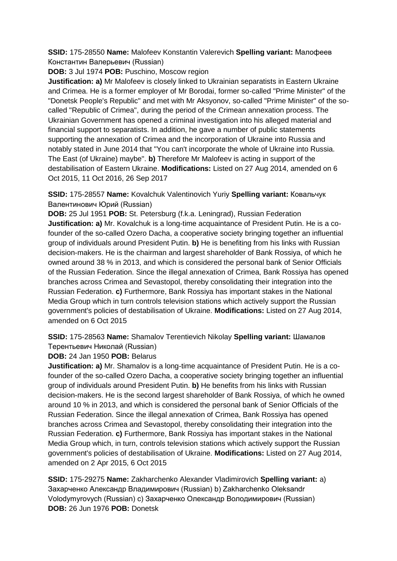**SSID:** 175-28550 **Name:** Malofeev Konstantin Valerevich **Spelling variant:** Малофеев Константин Валерьевич (Russian)

**DOB:** 3 Jul 1974 **POB:** Puschino, Moscow region

**Justification: a)** Mr Malofeev is closely linked to Ukrainian separatists in Eastern Ukraine and Crimea. He is a former employer of Mr Borodai, former so-called "Prime Minister" of the "Donetsk People's Republic" and met with Mr Aksyonov, so-called "Prime Minister" of the socalled "Republic of Crimea", during the period of the Crimean annexation process. The Ukrainian Government has opened a criminal investigation into his alleged material and financial support to separatists. In addition, he gave a number of public statements supporting the annexation of Crimea and the incorporation of Ukraine into Russia and notably stated in June 2014 that "You can't incorporate the whole of Ukraine into Russia. The East (of Ukraine) maybe". **b)** Therefore Mr Malofeev is acting in support of the destabilisation of Eastern Ukraine. **Modifications:** Listed on 27 Aug 2014, amended on 6 Oct 2015, 11 Oct 2016, 26 Sep 2017

**SSID:** 175-28557 **Name:** Kovalchuk Valentinovich Yuriy **Spelling variant:** Ковальчук Валентинович Юрий (Russian)

**DOB:** 25 Jul 1951 **POB:** St. Petersburg (f.k.a. Leningrad), Russian Federation **Justification: a)** Mr. Kovalchuk is a long-time acquaintance of President Putin. He is a cofounder of the so-called Ozero Dacha, a cooperative society bringing together an influential group of individuals around President Putin. **b)** He is benefiting from his links with Russian decision-makers. He is the chairman and largest shareholder of Bank Rossiya, of which he owned around 38 % in 2013, and which is considered the personal bank of Senior Officials of the Russian Federation. Since the illegal annexation of Crimea, Bank Rossiya has opened branches across Crimea and Sevastopol, thereby consolidating their integration into the Russian Federation. **c)** Furthermore, Bank Rossiya has important stakes in the National Media Group which in turn controls television stations which actively support the Russian government's policies of destabilisation of Ukraine. **Modifications:** Listed on 27 Aug 2014, amended on 6 Oct 2015

**SSID:** 175-28563 **Name:** Shamalov Terentievich Nikolay **Spelling variant:** Шамалов Терентьевич Николай (Russian)

**DOB:** 24 Jan 1950 **POB:** Belarus

**Justification: a)** Mr. Shamalov is a long-time acquaintance of President Putin. He is a cofounder of the so-called Ozero Dacha, a cooperative society bringing together an influential group of individuals around President Putin. **b)** He benefits from his links with Russian decision-makers. He is the second largest shareholder of Bank Rossiya, of which he owned around 10 % in 2013, and which is considered the personal bank of Senior Officials of the Russian Federation. Since the illegal annexation of Crimea, Bank Rossiya has opened branches across Crimea and Sevastopol, thereby consolidating their integration into the Russian Federation. **c)** Furthermore, Bank Rossiya has important stakes in the National Media Group which, in turn, controls television stations which actively support the Russian government's policies of destabilisation of Ukraine. **Modifications:** Listed on 27 Aug 2014, amended on 2 Apr 2015, 6 Oct 2015

**SSID:** 175-29275 **Name:** Zakharchenko Alexander Vladimirovich **Spelling variant:** a) Захарченко Александр Владимирович (Russian) b) Zakharchenko Oleksandr Volodymyrovych (Russian) c) Захарченко Олександр Володимирович (Russian) **DOB:** 26 Jun 1976 **POB:** Donetsk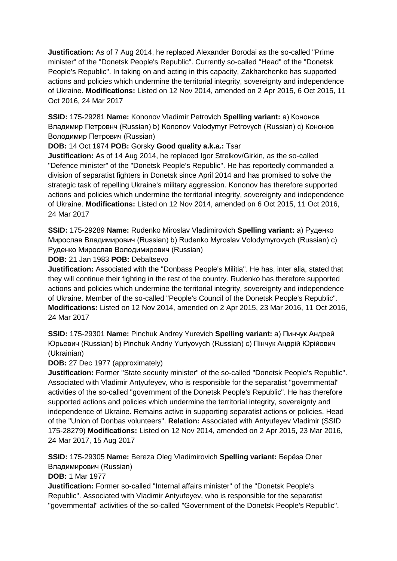**Justification:** As of 7 Aug 2014, he replaced Alexander Borodai as the so-called "Prime minister" of the "Donetsk People's Republic". Currently so-called "Head" of the "Donetsk People's Republic". In taking on and acting in this capacity, Zakharchenko has supported actions and policies which undermine the territorial integrity, sovereignty and independence of Ukraine. **Modifications:** Listed on 12 Nov 2014, amended on 2 Apr 2015, 6 Oct 2015, 11 Oct 2016, 24 Mar 2017

**SSID:** 175-29281 **Name:** Kononov Vladimir Petrovich **Spelling variant:** a) Кононов Владимир Петровнч (Russian) b) Kononov Volodymyr Petrovych (Russian) c) Кононов Володимир Петрович (Russian)

# **DOB:** 14 Oct 1974 **POB:** Gorsky **Good quality a.k.a.:** Tsar

**Justification:** As of 14 Aug 2014, he replaced Igor Strelkov/Girkin, as the so-called "Defence minister" of the "Donetsk People's Republic". He has reportedly commanded a division of separatist fighters in Donetsk since April 2014 and has promised to solve the strategic task of repelling Ukraine's military aggression. Kononov has therefore supported actions and policies which undermine the territorial integrity, sovereignty and independence of Ukraine. **Modifications:** Listed on 12 Nov 2014, amended on 6 Oct 2015, 11 Oct 2016, 24 Mar 2017

**SSID:** 175-29289 **Name:** Rudenko Miroslav Vladimirovich **Spelling variant:** a) Руденко Мирослав Владимирович (Russian) b) Rudenko Myroslav Volodymyrovych (Russian) c) Руденко Мирослав Володимирович (Russian)

**DOB:** 21 Jan 1983 **POB:** Debaltsevo

**Justification:** Associated with the "Donbass People's Militia". He has, inter alia, stated that they will continue their fighting in the rest of the country. Rudenko has therefore supported actions and policies which undermine the territorial integrity, sovereignty and independence of Ukraine. Member of the so-called "People's Council of the Donetsk People's Republic". **Modifications:** Listed on 12 Nov 2014, amended on 2 Apr 2015, 23 Mar 2016, 11 Oct 2016, 24 Mar 2017

**SSID:** 175-29301 **Name:** Pinchuk Andrey Yurevich **Spelling variant:** a) Пинчук Андрей Юрьевич (Russian) b) Pinchuk Andriy Yuriyovych (Russian) c) Пiнчук Андрій Юрійович (Ukrainian)

**DOB:** 27 Dec 1977 (approximately)

**Justification:** Former "State security minister" of the so-called "Donetsk People's Republic". Associated with Vladimir Antyufeyev, who is responsible for the separatist "governmental" activities of the so-called "government of the Donetsk People's Republic". He has therefore supported actions and policies which undermine the territorial integrity, sovereignty and independence of Ukraine. Remains active in supporting separatist actions or policies. Head of the "Union of Donbas volunteers". **Relation:** Associated with Antyufeyev Vladimir (SSID 175-28279) **Modifications:** Listed on 12 Nov 2014, amended on 2 Apr 2015, 23 Mar 2016, 24 Mar 2017, 15 Aug 2017

**SSID:** 175-29305 **Name:** Bereza Oleg Vladimirovich **Spelling variant:** Берëза Олег Владимирович (Russian)

**DOB:** 1 Mar 1977

**Justification:** Former so-called "Internal affairs minister" of the "Donetsk People's Republic". Associated with Vladimir Antyufeyev, who is responsible for the separatist "governmental" activities of the so-called "Government of the Donetsk People's Republic".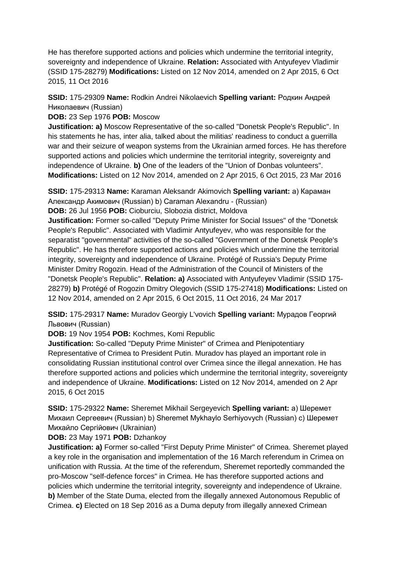He has therefore supported actions and policies which undermine the territorial integrity, sovereignty and independence of Ukraine. **Relation:** Associated with Antyufeyev Vladimir (SSID 175-28279) **Modifications:** Listed on 12 Nov 2014, amended on 2 Apr 2015, 6 Oct 2015, 11 Oct 2016

**SSID:** 175-29309 **Name:** Rodkin Andrei Nikolaevich **Spelling variant:** Родкин Андрей Николаевич (Russian)

**DOB:** 23 Sep 1976 **POB:** Moscow

**Justification: a)** Moscow Representative of the so-called "Donetsk People's Republic". In his statements he has, inter alia, talked about the militias' readiness to conduct a guerrilla war and their seizure of weapon systems from the Ukrainian armed forces. He has therefore supported actions and policies which undermine the territorial integrity, sovereignty and independence of Ukraine. **b)** One of the leaders of the "Union of Donbas volunteers". **Modifications:** Listed on 12 Nov 2014, amended on 2 Apr 2015, 6 Oct 2015, 23 Mar 2016

**SSID:** 175-29313 **Name:** Karaman Aleksandr Akimovich **Spelling variant:** a) Караман Александр Акимович (Russian) b) Caraman Alexandru - (Russian)

**DOB:** 26 Jul 1956 **POB:** Cioburciu, Slobozia district, Moldova

**Justification:** Former so-called "Deputy Prime Minister for Social Issues" of the "Donetsk People's Republic". Associated with Vladimir Antyufeyev, who was responsible for the separatist "governmental" activities of the so-called "Government of the Donetsk People's Republic". He has therefore supported actions and policies which undermine the territorial integrity, sovereignty and independence of Ukraine. Protégé of Russia's Deputy Prime Minister Dmitry Rogozin. Head of the Administration of the Council of Ministers of the "Donetsk People's Republic". **Relation: a)** Associated with Antyufeyev Vladimir (SSID 175- 28279) **b)** Protégé of Rogozin Dmitry Olegovich (SSID 175-27418) **Modifications:** Listed on 12 Nov 2014, amended on 2 Apr 2015, 6 Oct 2015, 11 Oct 2016, 24 Mar 2017

**SSID:** 175-29317 **Name:** Muradov Georgiy L'vovich **Spelling variant:** Мурадов Георгий Львович (Russian)

**DOB:** 19 Nov 1954 **POB:** Kochmes, Komi Republic

**Justification:** So-called "Deputy Prime Minister" of Crimea and Plenipotentiary Representative of Crimea to President Putin. Muradov has played an important role in consolidating Russian institutional control over Crimea since the illegal annexation. He has therefore supported actions and policies which undermine the territorial integrity, sovereignty and independence of Ukraine. **Modifications:** Listed on 12 Nov 2014, amended on 2 Apr 2015, 6 Oct 2015

**SSID:** 175-29322 **Name:** Sheremet Mikhail Sergeyevich **Spelling variant:** a) Шеремет Михаил Сергеевич (Russian) b) Sheremet Mykhaylo Serhiyovych (Russian) c) Шеремет Михайло Сергійович (Ukrainian)

**DOB:** 23 May 1971 **POB:** Dzhankoy

**Justification: a)** Former so-called "First Deputy Prime Minister" of Crimea. Sheremet played a key role in the organisation and implementation of the 16 March referendum in Crimea on unification with Russia. At the time of the referendum, Sheremet reportedly commanded the pro-Moscow "self-defence forces" in Crimea. He has therefore supported actions and policies which undermine the territorial integrity, sovereignty and independence of Ukraine. **b)** Member of the State Duma, elected from the illegally annexed Autonomous Republic of Crimea. **c)** Elected on 18 Sep 2016 as a Duma deputy from illegally annexed Crimean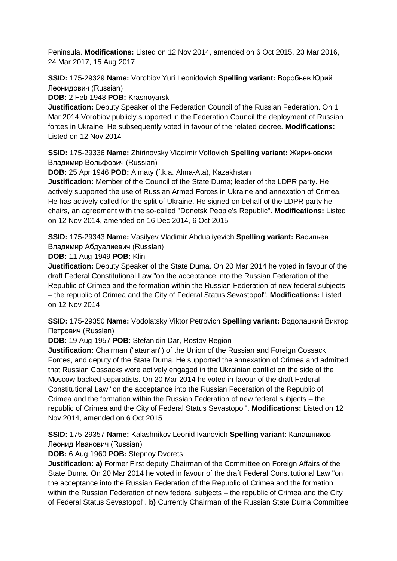Peninsula. **Modifications:** Listed on 12 Nov 2014, amended on 6 Oct 2015, 23 Mar 2016, 24 Mar 2017, 15 Aug 2017

**SSID:** 175-29329 **Name:** Vorobiov Yuri Leonidovich **Spelling variant:** Воробьев Юрий Леонидович (Russian)

**DOB:** 2 Feb 1948 **POB:** Krasnoyarsk

**Justification:** Deputy Speaker of the Federation Council of the Russian Federation. On 1 Mar 2014 Vorobiov publicly supported in the Federation Council the deployment of Russian forces in Ukraine. He subsequently voted in favour of the related decree. **Modifications:**  Listed on 12 Nov 2014

**SSID:** 175-29336 **Name:** Zhirinovsky Vladimir Volfovich **Spelling variant:** Жириновски Владимир Вольфович (Russian)

**DOB:** 25 Apr 1946 **POB:** Almaty (f.k.a. Alma-Ata), Kazakhstan

**Justification:** Member of the Council of the State Duma; leader of the LDPR party. He actively supported the use of Russian Armed Forces in Ukraine and annexation of Crimea. He has actively called for the split of Ukraine. He signed on behalf of the LDPR party he chairs, an agreement with the so-called "Donetsk People's Republic". **Modifications:** Listed on 12 Nov 2014, amended on 16 Dec 2014, 6 Oct 2015

**SSID:** 175-29343 **Name:** Vasilyev Vladimir Abdualiyevich **Spelling variant:** Васильев Владимир Абдуалиевич (Russian)

**DOB:** 11 Aug 1949 **POB:** Klin

**Justification:** Deputy Speaker of the State Duma. On 20 Mar 2014 he voted in favour of the draft Federal Constitutional Law "on the acceptance into the Russian Federation of the Republic of Crimea and the formation within the Russian Federation of new federal subjects – the republic of Crimea and the City of Federal Status Sevastopol". **Modifications:** Listed on 12 Nov 2014

**SSID:** 175-29350 **Name:** Vodolatsky Viktor Petrovich **Spelling variant:** Водолацкий Виктор Петрович (Russian)

**DOB:** 19 Aug 1957 **POB:** Stefanidin Dar, Rostov Region

**Justification:** Chairman ("ataman") of the Union of the Russian and Foreign Cossack Forces, and deputy of the State Duma. He supported the annexation of Crimea and admitted that Russian Cossacks were actively engaged in the Ukrainian conflict on the side of the Moscow-backed separatists. On 20 Mar 2014 he voted in favour of the draft Federal Constitutional Law "on the acceptance into the Russian Federation of the Republic of Crimea and the formation within the Russian Federation of new federal subjects – the republic of Crimea and the City of Federal Status Sevastopol". **Modifications:** Listed on 12 Nov 2014, amended on 6 Oct 2015

**SSID:** 175-29357 **Name:** Kalashnikov Leonid Ivanovich **Spelling variant:** Калашников Леонид Иванович (Russian)

**DOB:** 6 Aug 1960 **POB:** Stepnoy Dvorets

**Justification: a)** Former First deputy Chairman of the Committee on Foreign Affairs of the State Duma. On 20 Mar 2014 he voted in favour of the draft Federal Constitutional Law "on the acceptance into the Russian Federation of the Republic of Crimea and the formation within the Russian Federation of new federal subjects – the republic of Crimea and the City of Federal Status Sevastopol". **b)** Currently Chairman of the Russian State Duma Committee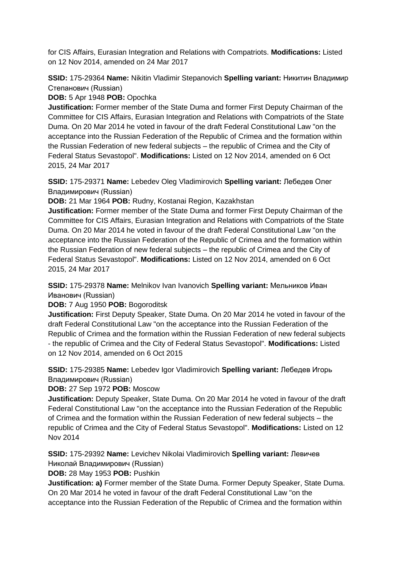for CIS Affairs, Eurasian Integration and Relations with Compatriots. **Modifications:** Listed on 12 Nov 2014, amended on 24 Mar 2017

**SSID:** 175-29364 **Name:** Nikitin Vladimir Stepanovich **Spelling variant:** Никитин Владимир Степанович (Russian)

**DOB:** 5 Apr 1948 **POB:** Opochka

**Justification:** Former member of the State Duma and former First Deputy Chairman of the Committee for CIS Affairs, Eurasian Integration and Relations with Compatriots of the State Duma. On 20 Mar 2014 he voted in favour of the draft Federal Constitutional Law "on the acceptance into the Russian Federation of the Republic of Crimea and the formation within the Russian Federation of new federal subjects – the republic of Crimea and the City of Federal Status Sevastopol". **Modifications:** Listed on 12 Nov 2014, amended on 6 Oct 2015, 24 Mar 2017

**SSID:** 175-29371 **Name:** Lebedev Oleg Vladimirovich **Spelling variant:** Лебедев Олег Владимирович (Russian)

**DOB:** 21 Mar 1964 **POB:** Rudny, Kostanai Region, Kazakhstan

**Justification:** Former member of the State Duma and former First Deputy Chairman of the Committee for CIS Affairs, Eurasian Integration and Relations with Compatriots of the State Duma. On 20 Mar 2014 he voted in favour of the draft Federal Constitutional Law "on the acceptance into the Russian Federation of the Republic of Crimea and the formation within the Russian Federation of new federal subjects – the republic of Crimea and the City of Federal Status Sevastopol". **Modifications:** Listed on 12 Nov 2014, amended on 6 Oct 2015, 24 Mar 2017

**SSID:** 175-29378 **Name:** Melnikov Ivan Ivanovich **Spelling variant:** Мельников Иван Иванович (Russian)

**DOB:** 7 Aug 1950 **POB:** Bogoroditsk

**Justification:** First Deputy Speaker, State Duma. On 20 Mar 2014 he voted in favour of the draft Federal Constitutional Law "on the acceptance into the Russian Federation of the Republic of Crimea and the formation within the Russian Federation of new federal subjects - the republic of Crimea and the City of Federal Status Sevastopol". **Modifications:** Listed on 12 Nov 2014, amended on 6 Oct 2015

**SSID:** 175-29385 **Name:** Lebedev Igor Vladimirovich **Spelling variant:** Лебедев Игорь Владимирович (Russian)

**DOB:** 27 Sep 1972 **POB:** Moscow

**Justification:** Deputy Speaker, State Duma. On 20 Mar 2014 he voted in favour of the draft Federal Constitutional Law "on the acceptance into the Russian Federation of the Republic of Crimea and the formation within the Russian Federation of new federal subjects – the republic of Crimea and the City of Federal Status Sevastopol". **Modifications:** Listed on 12 Nov 2014

**SSID:** 175-29392 **Name:** Levichev Nikolai Vladimirovich **Spelling variant:** Левичев Николай Владимирович (Russian)

**DOB:** 28 May 1953 **POB:** Pushkin

**Justification: a)** Former member of the State Duma. Former Deputy Speaker, State Duma. On 20 Mar 2014 he voted in favour of the draft Federal Constitutional Law "on the acceptance into the Russian Federation of the Republic of Crimea and the formation within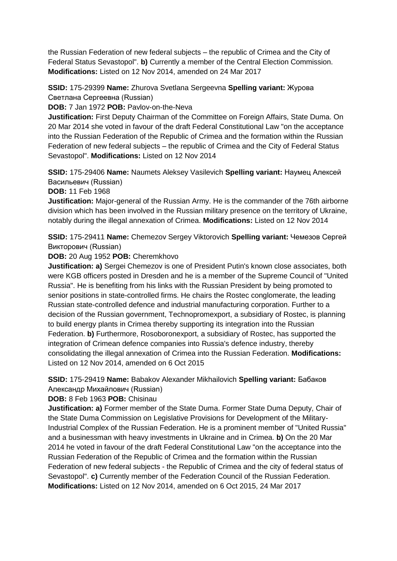the Russian Federation of new federal subjects – the republic of Crimea and the City of Federal Status Sevastopol". **b)** Currently a member of the Central Election Commission. **Modifications:** Listed on 12 Nov 2014, amended on 24 Mar 2017

**SSID:** 175-29399 **Name:** Zhurova Svetlana Sergeevna **Spelling variant:** Журова Светлана Сергеевна (Russian)

**DOB:** 7 Jan 1972 **POB:** Pavlov-on-the-Neva

**Justification:** First Deputy Chairman of the Committee on Foreign Affairs, State Duma. On 20 Mar 2014 she voted in favour of the draft Federal Constitutional Law "on the acceptance into the Russian Federation of the Republic of Crimea and the formation within the Russian Federation of new federal subjects – the republic of Crimea and the City of Federal Status Sevastopol". **Modifications:** Listed on 12 Nov 2014

**SSID:** 175-29406 **Name:** Naumets Aleksey Vasilevich **Spelling variant:** Hаумец Алексей Васильевич (Russian)

**DOB:** 11 Feb 1968

**Justification:** Major-general of the Russian Army. He is the commander of the 76th airborne division which has been involved in the Russian military presence on the territory of Ukraine, notably during the illegal annexation of Crimea. **Modifications:** Listed on 12 Nov 2014

**SSID:** 175-29411 **Name:** Chemezov Sergey Viktorovich **Spelling variant:** Чемезов Сергей Викторович (Russian)

**DOB:** 20 Aug 1952 **POB:** Cheremkhovo

**Justification: a)** Sergei Chemezov is one of President Putin's known close associates, both were KGB officers posted in Dresden and he is a member of the Supreme Council of "United Russia". He is benefiting from his links with the Russian President by being promoted to senior positions in state-controlled firms. He chairs the Rostec conglomerate, the leading Russian state-controlled defence and industrial manufacturing corporation. Further to a decision of the Russian government, Technopromexport, a subsidiary of Rostec, is planning to build energy plants in Crimea thereby supporting its integration into the Russian Federation. **b)** Furthermore, Rosoboronexport, a subsidiary of Rostec, has supported the integration of Crimean defence companies into Russia's defence industry, thereby consolidating the illegal annexation of Crimea into the Russian Federation. **Modifications:**  Listed on 12 Nov 2014, amended on 6 Oct 2015

**SSID:** 175-29419 **Name:** Babakov Alexander Mikhailovich **Spelling variant:** Бабаков Aлександр Михайлович (Russian)

**DOB:** 8 Feb 1963 **POB:** Chisinau

**Justification: a)** Former member of the State Duma. Former State Duma Deputy, Chair of the State Duma Commission on Legislative Provisions for Development of the Military-Industrial Complex of the Russian Federation. He is a prominent member of "United Russia" and a businessman with heavy investments in Ukraine and in Crimea. **b)** On the 20 Mar 2014 he voted in favour of the draft Federal Constitutional Law "on the acceptance into the Russian Federation of the Republic of Crimea and the formation within the Russian Federation of new federal subjects - the Republic of Crimea and the city of federal status of Sevastopol". **c)** Currently member of the Federation Council of the Russian Federation. **Modifications:** Listed on 12 Nov 2014, amended on 6 Oct 2015, 24 Mar 2017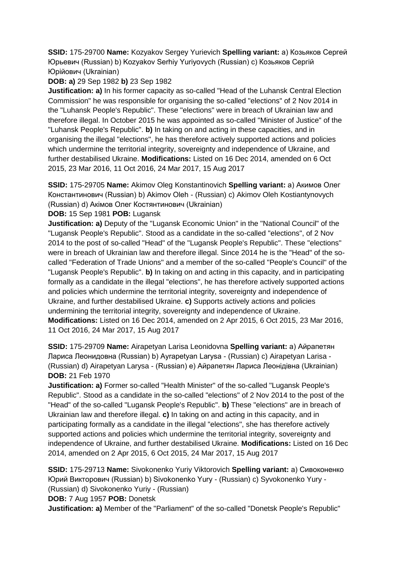**SSID:** 175-29700 **Name:** Kozyakov Sergey Yurievich **Spelling variant:** a) Козьяков Сергей Юрьевич (Russian) b) Kozyakov Serhiy Yuriyovych (Russian) c) Козьяков Сергій Юрійович (Ukrainian)

**DOB: a)** 29 Sep 1982 **b)** 23 Sep 1982

**Justification: a)** In his former capacity as so-called "Head of the Luhansk Central Election Commission" he was responsible for organising the so-called "elections" of 2 Nov 2014 in the "Luhansk People's Republic". These "elections" were in breach of Ukrainian law and therefore illegal. In October 2015 he was appointed as so-called "Minister of Justice" of the "Luhansk People's Republic". **b)** In taking on and acting in these capacities, and in organising the illegal "elections", he has therefore actively supported actions and policies which undermine the territorial integrity, sovereignty and independence of Ukraine, and further destabilised Ukraine. **Modifications:** Listed on 16 Dec 2014, amended on 6 Oct 2015, 23 Mar 2016, 11 Oct 2016, 24 Mar 2017, 15 Aug 2017

**SSID:** 175-29705 **Name:** Akimov Oleg Konstantinovich **Spelling variant:** a) Акимов Олег Константинович (Russian) b) Akimov Oleh - (Russian) c) Akimov Oleh Kostiantynovych (Russian) d) Акiмов Олег Костянтинович (Ukrainian)

**DOB:** 15 Sep 1981 **POB:** Lugansk

**Justification: a)** Deputy of the "Lugansk Economic Union" in the "National Council" of the "Lugansk People's Republic". Stood as a candidate in the so-called "elections", of 2 Nov 2014 to the post of so-called "Head" of the "Lugansk People's Republic". These "elections" were in breach of Ukrainian law and therefore illegal. Since 2014 he is the "Head" of the socalled "Federation of Trade Unions" and a member of the so-called "People's Council" of the "Lugansk People's Republic". **b)** In taking on and acting in this capacity, and in participating formally as a candidate in the illegal "elections", he has therefore actively supported actions and policies which undermine the territorial integrity, sovereignty and independence of Ukraine, and further destabilised Ukraine. **c)** Supports actively actions and policies undermining the territorial integrity, sovereignty and independence of Ukraine. **Modifications:** Listed on 16 Dec 2014, amended on 2 Apr 2015, 6 Oct 2015, 23 Mar 2016, 11 Oct 2016, 24 Mar 2017, 15 Aug 2017

**SSID:** 175-29709 **Name:** Airapetyan Larisa Leonidovna **Spelling variant:** a) Айрапетян Лариса Леонидовна (Russian) b) Ayrapetyan Larysa - (Russian) c) Airapetyan Larisa - (Russian) d) Airapetyan Larysa - (Russian) e) Айрапетян Лариса Леонідівна (Ukrainian) **DOB:** 21 Feb 1970

**Justification: a)** Former so-called "Health Minister" of the so-called "Lugansk People's Republic". Stood as a candidate in the so-called "elections" of 2 Nov 2014 to the post of the "Head" of the so-called "Lugansk People's Republic". **b)** These "elections" are in breach of Ukrainian law and therefore illegal. **c)** In taking on and acting in this capacity, and in participating formally as a candidate in the illegal "elections", she has therefore actively supported actions and policies which undermine the territorial integrity, sovereignty and independence of Ukraine, and further destabilised Ukraine. **Modifications:** Listed on 16 Dec 2014, amended on 2 Apr 2015, 6 Oct 2015, 24 Mar 2017, 15 Aug 2017

**SSID:** 175-29713 **Name:** Sivokonenko Yuriy Viktorovich **Spelling variant:** a) Сивоконенко Юрий Викторович (Russian) b) Sivokonenko Yury - (Russian) c) Syvokonenko Yury - (Russian) d) Sivokonenko Yuriy - (Russian)

**DOB:** 7 Aug 1957 **POB:** Donetsk

**Justification: a)** Member of the "Parliament" of the so-called "Donetsk People's Republic"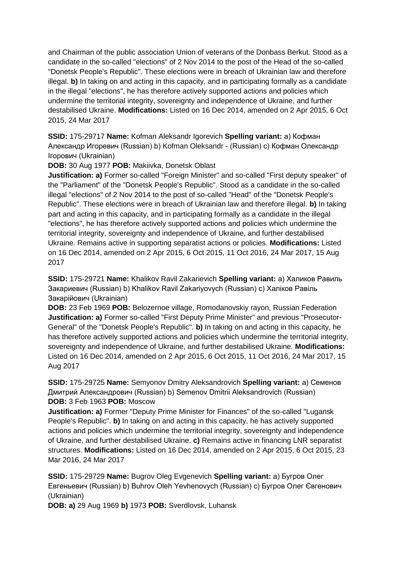and Chairman of the public association Union of veterans of the Donbass Berkut. Stood as a candidate in the so-called "elections" of 2 Nov 2014 to the post of the Head of the so-called "Donetsk People's Republic". These elections were in breach of Ukrainian law and therefore illegal. **b)** In taking on and acting in this capacity, and in participating formally as a candidate in the illegal "elections", he has therefore actively supported actions and policies which undermine the territorial integrity, sovereignty and independence of Ukraine, and further destabilised Ukraine. **Modifications:** Listed on 16 Dec 2014, amended on 2 Apr 2015, 6 Oct 2015, 24 Mar 2017

**SSID:** 175-29717 **Name:** Kofman Aleksandr Igorevich **Spelling variant:** a) Кофман Александр Игоревич (Russian) b) Kofman Oleksandr - (Russian) c) Кофман Олександр Iгорович (Ukrainian)

**DOB:** 30 Aug 1977 **POB:** Makiivka, Donetsk Oblast

**Justification: a)** Former so-called "Foreign Minister" and so-called "First deputy speaker" of the "Parliament" of the "Donetsk People's Republic". Stood as a candidate in the so-called illegal "elections" of 2 Nov 2014 to the post of so-called "Head" of the "Donetsk People's Republic". These elections were in breach of Ukrainian law and therefore illegal. **b)** In taking part and acting in this capacity, and in participating formally as a candidate in the illegal "elections", he has therefore actively supported actions and policies which undermine the territorial integrity, sovereignty and independence of Ukraine, and further destabilised Ukraine. Remains active in supporting separatist actions or policies. **Modifications:** Listed on 16 Dec 2014, amended on 2 Apr 2015, 6 Oct 2015, 11 Oct 2016, 24 Mar 2017, 15 Aug 2017

**SSID:** 175-29721 **Name:** Khalikov Ravil Zakarievich **Spelling variant:** a) Халиков Равиль Закариевич (Russian) b) Khalikov Ravil Zakariyovych (Russian) c) Халiков Равіль Закарійович (Ukrainian)

**DOB:** 23 Feb 1969 **POB:** Belozernoe village, Romodanovskiy rayon, Russian Federation **Justification: a)** Former so-called "First Deputy Prime Minister" and previous "Prosecutor-General" of the "Donetsk People's Republic". **b)** In taking on and acting in this capacity, he has therefore actively supported actions and policies which undermine the territorial integrity, sovereignty and independence of Ukraine, and further destabilised Ukraine. **Modifications:**  Listed on 16 Dec 2014, amended on 2 Apr 2015, 6 Oct 2015, 11 Oct 2016, 24 Mar 2017, 15 Aug 2017

**SSID:** 175-29725 **Name:** Semyonov Dmitry Aleksandrovich **Spelling variant:** a) Семенов Дмитрий Александрович (Russian) b) Semenov Dmitrii Aleksandrovich (Russian) **DOB:** 3 Feb 1963 **POB:** Moscow

**Justification: a)** Former "Deputy Prime Minister for Finances" of the so-called "Lugansk People's Republic". **b)** In taking on and acting in this capacity, he has actively supported actions and policies which undermine the territorial integrity, sovereignty and independence of Ukraine, and further destabilised Ukraine. **c)** Remains active in financing LNR separatist structures. **Modifications:** Listed on 16 Dec 2014, amended on 2 Apr 2015, 6 Oct 2015, 23 Mar 2016, 24 Mar 2017

**SSID:** 175-29729 **Name:** Bugrov Oleg Evgenevich **Spelling variant:** a) Бугров Олег Евгеньевич (Russian) b) Buhrov Oleh Yevhenovych (Russian) c) Бугров Олег Євгенович (Ukrainian)

**DOB: a)** 29 Aug 1969 **b)** 1973 **POB:** Sverdlovsk, Luhansk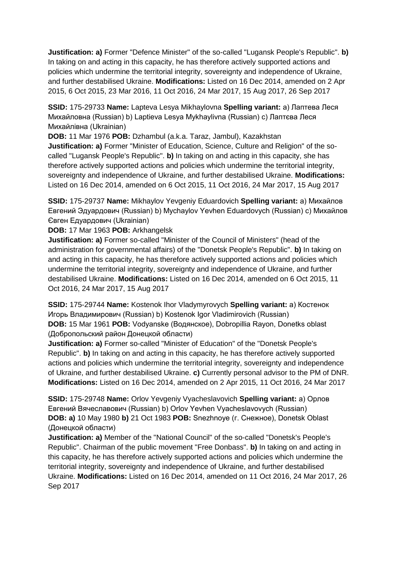**Justification: a)** Former "Defence Minister" of the so-called "Lugansk People's Republic". **b)**  In taking on and acting in this capacity, he has therefore actively supported actions and policies which undermine the territorial integrity, sovereignty and independence of Ukraine, and further destabilised Ukraine. **Modifications:** Listed on 16 Dec 2014, amended on 2 Apr 2015, 6 Oct 2015, 23 Mar 2016, 11 Oct 2016, 24 Mar 2017, 15 Aug 2017, 26 Sep 2017

**SSID:** 175-29733 **Name:** Lapteva Lesya Mikhaylovna **Spelling variant:** a) Лаптева Леся Михайловна (Russian) b) Laptieva Lesya Mykhaylivna (Russian) c) Лаптєва Леся Михайлівна (Ukrainian)

**DOB:** 11 Mar 1976 **POB:** Dzhambul (a.k.a. Taraz, Jambul), Kazakhstan **Justification: a)** Former "Minister of Education, Science, Culture and Religion" of the socalled "Lugansk People's Republic". **b)** In taking on and acting in this capacity, she has therefore actively supported actions and policies which undermine the territorial integrity, sovereignty and independence of Ukraine, and further destabilised Ukraine. **Modifications:** 

Listed on 16 Dec 2014, amended on 6 Oct 2015, 11 Oct 2016, 24 Mar 2017, 15 Aug 2017

**SSID:** 175-29737 **Name:** Mikhaylov Yevgeniy Eduardovich **Spelling variant:** a) Михайлов Евгений Эдуардович (Russian) b) Mychaylov Yevhen Eduardovych (Russian) c) Михайлов Євген Едуардович (Ukrainian)

**DOB:** 17 Mar 1963 **POB:** Arkhangelsk

**Justification: a)** Former so-called "Minister of the Council of Ministers" (head of the administration for governmental affairs) of the "Donetsk People's Republic". **b)** In taking on and acting in this capacity, he has therefore actively supported actions and policies which undermine the territorial integrity, sovereignty and independence of Ukraine, and further destabilised Ukraine. **Modifications:** Listed on 16 Dec 2014, amended on 6 Oct 2015, 11 Oct 2016, 24 Mar 2017, 15 Aug 2017

**SSID:** 175-29744 **Name:** Kostenok Ihor Vladymyrovych **Spelling variant:** a) Костенок Игорь Владимирович (Russian) b) Kostenok Igor Vladimirovich (Russian) **DOB:** 15 Mar 1961 **POB:** Vodyanske (Водянское), Dobropillia Rayon, Donetks oblast (Добропольский район Донецкой области)

**Justification: a)** Former so-called "Minister of Education" of the "Donetsk People's Republic". **b)** In taking on and acting in this capacity, he has therefore actively supported actions and policies which undermine the territorial integrity, sovereignty and independence of Ukraine, and further destabilised Ukraine. **c)** Currently personal advisor to the PM of DNR. **Modifications:** Listed on 16 Dec 2014, amended on 2 Apr 2015, 11 Oct 2016, 24 Mar 2017

**SSID:** 175-29748 **Name:** Orlov Yevgeniy Vyacheslavovich **Spelling variant:** a) Орлов Евгений Вячеславович (Russian) b) Orlov Yevhen Vyacheslavovych (Russian) **DOB: a)** 10 May 1980 **b)** 21 Oct 1983 **POB:** Snezhnoye (г. Снежное), Donetsk Oblast (Донецкой области)

**Justification: a)** Member of the "National Council" of the so-called "Donetsk's People's Republic". Chairman of the public movement "Free Donbass". **b)** In taking on and acting in this capacity, he has therefore actively supported actions and policies which undermine the territorial integrity, sovereignty and independence of Ukraine, and further destabilised Ukraine. **Modifications:** Listed on 16 Dec 2014, amended on 11 Oct 2016, 24 Mar 2017, 26 Sep 2017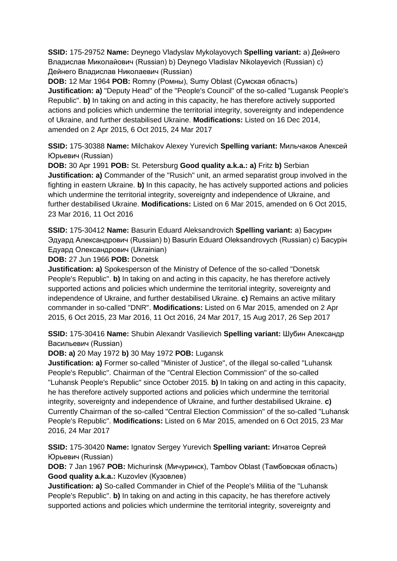**SSID:** 175-29752 **Name:** Deynego Vladyslav Mykolayovych **Spelling variant:** a) Дейнего Владислав Миколайович (Russian) b) Deynego Vladislav Nikolayevich (Russian) c) Дейнего Владислав Николаевич (Russian)

**DOB:** 12 Mar 1964 **POB:** Romny (Ромны), Sumy Oblast (Сумская область) **Justification: a)** "Deputy Head" of the "People's Council" of the so-called "Lugansk People's Republic". **b)** In taking on and acting in this capacity, he has therefore actively supported actions and policies which undermine the territorial integrity, sovereignty and independence of Ukraine, and further destabilised Ukraine. **Modifications:** Listed on 16 Dec 2014, amended on 2 Apr 2015, 6 Oct 2015, 24 Mar 2017

**SSID:** 175-30388 **Name:** Milchakov Alexey Yurevich **Spelling variant:** Мильчаков Алексей Юрьевич (Russian)

**DOB:** 30 Apr 1991 **POB:** St. Petersburg **Good quality a.k.a.: a)** Fritz **b)** Serbian **Justification: a)** Commander of the "Rusich" unit, an armed separatist group involved in the fighting in eastern Ukraine. **b)** In this capacity, he has actively supported actions and policies which undermine the territorial integrity, sovereignty and independence of Ukraine, and further destabilised Ukraine. **Modifications:** Listed on 6 Mar 2015, amended on 6 Oct 2015, 23 Mar 2016, 11 Oct 2016

**SSID:** 175-30412 **Name:** Basurin Eduard Aleksandrovich **Spelling variant:** a) Басурин Эдуард Александрович (Russian) b) Basurin Eduard Oleksandrovych (Russian) c) Басурiн Едуард Олександрович (Ukrainian)

**DOB:** 27 Jun 1966 **POB:** Donetsk

**Justification: a)** Spokesperson of the Ministry of Defence of the so-called "Donetsk People's Republic". **b)** In taking on and acting in this capacity, he has therefore actively supported actions and policies which undermine the territorial integrity, sovereignty and independence of Ukraine, and further destabilised Ukraine. **c)** Remains an active military commander in so-called "DNR". **Modifications:** Listed on 6 Mar 2015, amended on 2 Apr 2015, 6 Oct 2015, 23 Mar 2016, 11 Oct 2016, 24 Mar 2017, 15 Aug 2017, 26 Sep 2017

**SSID:** 175-30416 **Name:** Shubin Alexandr Vasilievich **Spelling variant:** Шубин Александр Васильевич (Russian)

**DOB: a)** 20 May 1972 **b)** 30 May 1972 **POB:** Lugansk

**Justification: a)** Former so-called "Minister of Justice", of the illegal so-called "Luhansk People's Republic". Chairman of the "Central Election Commission" of the so-called "Luhansk People's Republic" since October 2015. **b)** In taking on and acting in this capacity, he has therefore actively supported actions and policies which undermine the territorial integrity, sovereignty and independence of Ukraine, and further destabilised Ukraine. **c)**  Currently Chairman of the so-called "Central Election Commission" of the so-called "Luhansk People's Republic". **Modifications:** Listed on 6 Mar 2015, amended on 6 Oct 2015, 23 Mar 2016, 24 Mar 2017

**SSID:** 175-30420 **Name:** Ignatov Sergey Yurevich **Spelling variant:** Игнатов Сергей Юрьевич (Russian)

**DOB:** 7 Jan 1967 **POB:** Michurinsk (Мичуринск), Tambov Oblast (Тамбовская область) **Good quality a.k.a.:** Kuzovlev (Кузовлев)

**Justification: a)** So-called Commander in Chief of the People's Militia of the "Luhansk People's Republic". **b)** In taking on and acting in this capacity, he has therefore actively supported actions and policies which undermine the territorial integrity, sovereignty and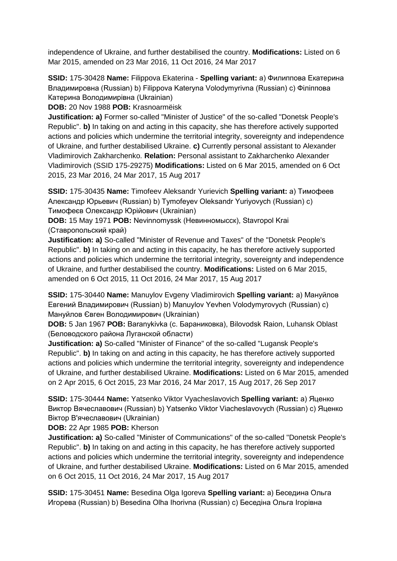independence of Ukraine, and further destabilised the country. **Modifications:** Listed on 6 Mar 2015, amended on 23 Mar 2016, 11 Oct 2016, 24 Mar 2017

**SSID:** 175-30428 **Name:** Filippova Ekaterina - **Spelling variant:** a) Филиппова Екатерина Владимировна (Russian) b) Filippova Kateryna Volodymyrivna (Russian) c) Фiлiппова Катерина Володимирівна (Ukrainian)

**DOB:** 20 Nov 1988 **POB:** Krasnoarmëisk

**Justification: a)** Former so-called "Minister of Justice" of the so-called "Donetsk People's Republic". **b)** In taking on and acting in this capacity, she has therefore actively supported actions and policies which undermine the territorial integrity, sovereignty and independence of Ukraine, and further destabilised Ukraine. **c)** Currently personal assistant to Alexander Vladimirovich Zakharchenko. **Relation:** Personal assistant to Zakharchenko Alexander Vladimirovich (SSID 175-29275) **Modifications:** Listed on 6 Mar 2015, amended on 6 Oct 2015, 23 Mar 2016, 24 Mar 2017, 15 Aug 2017

**SSID:** 175-30435 **Name:** Timofeev Aleksandr Yurievich **Spelling variant:** a) Тимофеев Александр Юрьевич (Russian) b) Tymofeyev Oleksandr Yuriyovych (Russian) c) Тимофеєв Олександр Юрійович (Ukrainian)

**DOB:** 15 May 1971 **POB:** Nevinnomyssk (Невинномысск), Stavropol Krai (Ставропольский край)

**Justification: a)** So-called "Minister of Revenue and Taxes" of the "Donetsk People's Republic". **b)** In taking on and acting in this capacity, he has therefore actively supported actions and policies which undermine the territorial integrity, sovereignty and independence of Ukraine, and further destabilised the country. **Modifications:** Listed on 6 Mar 2015, amended on 6 Oct 2015, 11 Oct 2016, 24 Mar 2017, 15 Aug 2017

**SSID:** 175-30440 **Name:** Manuylov Evgeny Vladimirovich **Spelling variant:** a) Мануйлов Евгений Владимирович (Russian) b) Manuylov Yevhen Volodymyrovych (Russian) c) Мануйлов Євген Володимирович (Ukrainian)

**DOB:** 5 Jan 1967 **POB:** Baranykivka (с. Бараниковка), Bilovodsk Raion, Luhansk Oblast (Беловодского района Луганской области)

**Justification: a)** So-called "Minister of Finance" of the so-called "Lugansk People's Republic". **b)** In taking on and acting in this capacity, he has therefore actively supported actions and policies which undermine the territorial integrity, sovereignty and independence of Ukraine, and further destabilised Ukraine. **Modifications:** Listed on 6 Mar 2015, amended on 2 Apr 2015, 6 Oct 2015, 23 Mar 2016, 24 Mar 2017, 15 Aug 2017, 26 Sep 2017

**SSID:** 175-30444 **Name:** Yatsenko Viktor Vyacheslavovich **Spelling variant:** a) Яценко Виктор Вячеславович (Russian) b) Yatsenko Viktor Viacheslavovych (Russian) c) Яценко Віктор В'ячеславович (Ukrainian)

**DOB:** 22 Apr 1985 **POB:** Kherson

**Justification: a)** So-called "Minister of Communications" of the so-called "Donetsk People's Republic". **b)** In taking on and acting in this capacity, he has therefore actively supported actions and policies which undermine the territorial integrity, sovereignty and independence of Ukraine, and further destabilised Ukraine. **Modifications:** Listed on 6 Mar 2015, amended on 6 Oct 2015, 11 Oct 2016, 24 Mar 2017, 15 Aug 2017

**SSID:** 175-30451 **Name:** Besedina Olga Igoreva **Spelling variant:** a) Беседина Ольга Игорева (Russian) b) Besedina Olha Ihorivna (Russian) c) Беседiна Ольга Iгорівна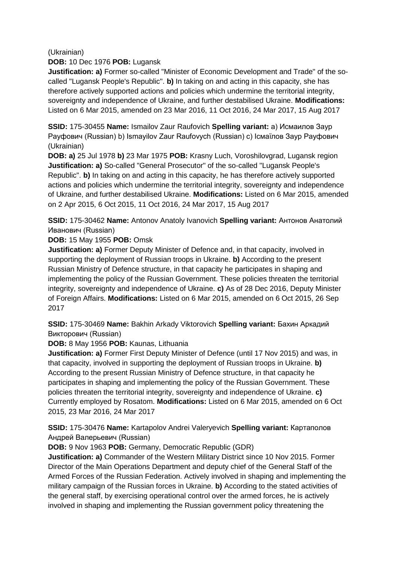#### (Ukrainian)

**DOB:** 10 Dec 1976 **POB:** Lugansk

**Justification: a)** Former so-called "Minister of Economic Development and Trade" of the socalled "Lugansk People's Republic". **b)** In taking on and acting in this capacity, she has therefore actively supported actions and policies which undermine the territorial integrity, sovereignty and independence of Ukraine, and further destabilised Ukraine. **Modifications:**  Listed on 6 Mar 2015, amended on 23 Mar 2016, 11 Oct 2016, 24 Mar 2017, 15 Aug 2017

**SSID:** 175-30455 **Name:** Ismailov Zaur Raufovich **Spelling variant:** a) Исмаилов Заур Рауфович (Russian) b) Ismayilov Zaur Raufovych (Russian) c) Iсмаїлов Заур Рауфович (Ukrainian)

**DOB: a)** 25 Jul 1978 **b)** 23 Mar 1975 **POB:** Krasny Luch, Voroshilovgrad, Lugansk region **Justification: a)** So-called "General Prosecutor" of the so-called "Lugansk People's Republic". **b)** In taking on and acting in this capacity, he has therefore actively supported actions and policies which undermine the territorial integrity, sovereignty and independence of Ukraine, and further destabilised Ukraine. **Modifications:** Listed on 6 Mar 2015, amended on 2 Apr 2015, 6 Oct 2015, 11 Oct 2016, 24 Mar 2017, 15 Aug 2017

**SSID:** 175-30462 **Name:** Antonov Anatoly Ivanovich **Spelling variant:** Антонов Анатолий Иванович (Russian)

### **DOB:** 15 May 1955 **POB:** Omsk

**Justification: a)** Former Deputy Minister of Defence and, in that capacity, involved in supporting the deployment of Russian troops in Ukraine. **b)** According to the present Russian Ministry of Defence structure, in that capacity he participates in shaping and implementing the policy of the Russian Government. These policies threaten the territorial integrity, sovereignty and independence of Ukraine. **c)** As of 28 Dec 2016, Deputy Minister of Foreign Affairs. **Modifications:** Listed on 6 Mar 2015, amended on 6 Oct 2015, 26 Sep 2017

**SSID:** 175-30469 **Name:** Bakhin Arkady Viktorovich **Spelling variant:** Бахин Аркадий Викторович (Russian)

**DOB:** 8 May 1956 **POB:** Kaunas, Lithuania

**Justification: a)** Former First Deputy Minister of Defence (until 17 Nov 2015) and was, in that capacity, involved in supporting the deployment of Russian troops in Ukraine. **b)**  According to the present Russian Ministry of Defence structure, in that capacity he participates in shaping and implementing the policy of the Russian Government. These policies threaten the territorial integrity, sovereignty and independence of Ukraine. **c)**  Currently employed by Rosatom. **Modifications:** Listed on 6 Mar 2015, amended on 6 Oct 2015, 23 Mar 2016, 24 Mar 2017

**SSID:** 175-30476 **Name:** Kartapolov Andrei Valeryevich **Spelling variant:** Картaполов Андрей Валерьевич (Russian)

**DOB:** 9 Nov 1963 **POB:** Germany, Democratic Republic (GDR)

**Justification: a)** Commander of the Western Military District since 10 Nov 2015. Former Director of the Main Operations Department and deputy chief of the General Staff of the Armed Forces of the Russian Federation. Actively involved in shaping and implementing the military campaign of the Russian forces in Ukraine. **b)** According to the stated activities of the general staff, by exercising operational control over the armed forces, he is actively involved in shaping and implementing the Russian government policy threatening the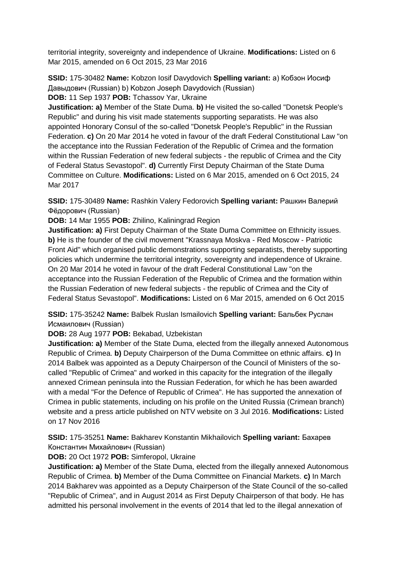territorial integrity, sovereignty and independence of Ukraine. **Modifications:** Listed on 6 Mar 2015, amended on 6 Oct 2015, 23 Mar 2016

**SSID:** 175-30482 **Name:** Kobzon Iosif Davydovich **Spelling variant:** a) Кобзон Иосиф Дaвыдович (Russian) b) Kobzon Joseph Davydovich (Russian) **DOB:** 11 Sep 1937 **POB:** Tchassov Yar, Ukraine

**Justification: a)** Member of the State Duma. **b)** He visited the so-called "Donetsk People's Republic" and during his visit made statements supporting separatists. He was also appointed Honorary Consul of the so-called "Donetsk People's Republic" in the Russian Federation. **c)** On 20 Mar 2014 he voted in favour of the draft Federal Constitutional Law "on the acceptance into the Russian Federation of the Republic of Crimea and the formation within the Russian Federation of new federal subjects - the republic of Crimea and the City of Federal Status Sevastopol". **d)** Currently First Deputy Chairman of the State Duma Committee on Culture. **Modifications:** Listed on 6 Mar 2015, amended on 6 Oct 2015, 24 Mar 2017

**SSID:** 175-30489 **Name:** Rashkin Valery Fedorovich **Spelling variant:** Рашкин Валерий Фёдорович (Russian)

**DOB:** 14 Mar 1955 **POB:** Zhilino, Kaliningrad Region

**Justification: a)** First Deputy Chairman of the State Duma Committee on Ethnicity issues. **b)** He is the founder of the civil movement "Krassnaya Moskva - Red Moscow - Patriotic Front Aid" which organised public demonstrations supporting separatists, thereby supporting policies which undermine the territorial integrity, sovereignty and independence of Ukraine. On 20 Mar 2014 he voted in favour of the draft Federal Constitutional Law "on the acceptance into the Russian Federation of the Republic of Crimea and the formation within the Russian Federation of new federal subjects - the republic of Crimea and the City of Federal Status Sevastopol". **Modifications:** Listed on 6 Mar 2015, amended on 6 Oct 2015

**SSID:** 175-35242 **Name:** Balbek Ruslan Ismailovich **Spelling variant:** Бальбек Руслан Исмаилович (Russian)

**DOB:** 28 Aug 1977 **POB:** Bekabad, Uzbekistan

**Justification: a)** Member of the State Duma, elected from the illegally annexed Autonomous Republic of Crimea. **b)** Deputy Chairperson of the Duma Committee on ethnic affairs. **c)** In 2014 Balbek was appointed as a Deputy Chairperson of the Council of Ministers of the socalled "Republic of Crimea" and worked in this capacity for the integration of the illegally annexed Crimean peninsula into the Russian Federation, for which he has been awarded with a medal "For the Defence of Republic of Crimea". He has supported the annexation of Crimea in public statements, including on his profile on the United Russia (Crimean branch) website and a press article published on NTV website on 3 Jul 2016. **Modifications:** Listed on 17 Nov 2016

**SSID:** 175-35251 **Name:** Bakharev Konstantin Mikhailovich **Spelling variant:** Бахарев Константин Михайлович (Russian)

**DOB:** 20 Oct 1972 **POB:** Simferopol, Ukraine

**Justification: a)** Member of the State Duma, elected from the illegally annexed Autonomous Republic of Crimea. **b)** Member of the Duma Committee on Financial Markets. **c)** In March 2014 Bakharev was appointed as a Deputy Chairperson of the State Council of the so-called "Republic of Crimea", and in August 2014 as First Deputy Chairperson of that body. He has admitted his personal involvement in the events of 2014 that led to the illegal annexation of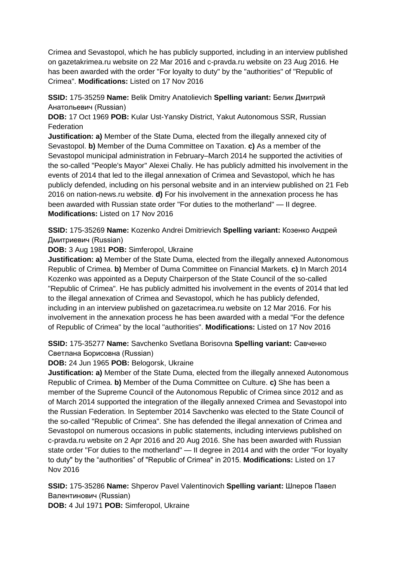Crimea and Sevastopol, which he has publicly supported, including in an interview published on gazetakrimea.ru website on 22 Mar 2016 and c-pravda.ru website on 23 Aug 2016. He has been awarded with the order "For loyalty to duty" by the "authorities" of "Republic of Crimea". **Modifications:** Listed on 17 Nov 2016

**SSID:** 175-35259 **Name:** Belik Dmitry Anatolievich **Spelling variant:** Белик Дмитрий Анатольевич (Russian)

**DOB:** 17 Oct 1969 **POB:** Kular Ust-Yansky District, Yakut Autonomous SSR, Russian **Federation** 

**Justification: a)** Member of the State Duma, elected from the illegally annexed city of Sevastopol. **b)** Member of the Duma Committee on Taxation. **c)** As a member of the Sevastopol municipal administration in February–March 2014 he supported the activities of the so-called "People's Mayor" Alexei Chaliy. He has publicly admitted his involvement in the events of 2014 that led to the illegal annexation of Crimea and Sevastopol, which he has publicly defended, including on his personal website and in an interview published on 21 Feb 2016 on nation-news.ru website. **d)** For his involvement in the annexation process he has been awarded with Russian state order "For duties to the motherland" — II degree. **Modifications:** Listed on 17 Nov 2016

**SSID:** 175-35269 **Name:** Kozenko Andrei Dmitrievich **Spelling variant:** Козенко Андрей Дмитриевич (Russian)

**DOB:** 3 Aug 1981 **POB:** Simferopol, Ukraine

**Justification: a)** Member of the State Duma, elected from the illegally annexed Autonomous Republic of Crimea. **b)** Member of Duma Committee on Financial Markets. **c)** In March 2014 Kozenko was appointed as a Deputy Chairperson of the State Council of the so-called "Republic of Crimea". He has publicly admitted his involvement in the events of 2014 that led to the illegal annexation of Crimea and Sevastopol, which he has publicly defended, including in an interview published on gazetacrimea.ru website on 12 Mar 2016. For his involvement in the annexation process he has been awarded with a medal "For the defence of Republic of Crimea" by the local "authorities". **Modifications:** Listed on 17 Nov 2016

**SSID:** 175-35277 **Name:** Savchenko Svetlana Borisovna **Spelling variant:** Савченко Светлана Борисовна (Russian)

#### **DOB:** 24 Jun 1965 **POB:** Belogorsk, Ukraine

**Justification: a)** Member of the State Duma, elected from the illegally annexed Autonomous Republic of Crimea. **b)** Member of the Duma Committee on Culture. **c)** She has been a member of the Supreme Council of the Autonomous Republic of Crimea since 2012 and as of March 2014 supported the integration of the illegally annexed Crimea and Sevastopol into the Russian Federation. In September 2014 Savchenko was elected to the State Council of the so-called "Republic of Crimea". She has defended the illegal annexation of Crimea and Sevastopol on numerous occasions in public statements, including interviews published on c-pravda.ru website on 2 Apr 2016 and 20 Aug 2016. She has been awarded with Russian state order "For duties to the motherland" — II degree in 2014 and with the order "For loyalty to duty" by the "authorities" of "Republic of Crimea" in 2015. **Modifications:** Listed on 17 Nov 2016

**SSID:** 175-35286 **Name:** Shperov Pavel Valentinovich **Spelling variant:** Шперов Павел Валентинович (Russian)

**DOB:** 4 Jul 1971 **POB:** Simferopol, Ukraine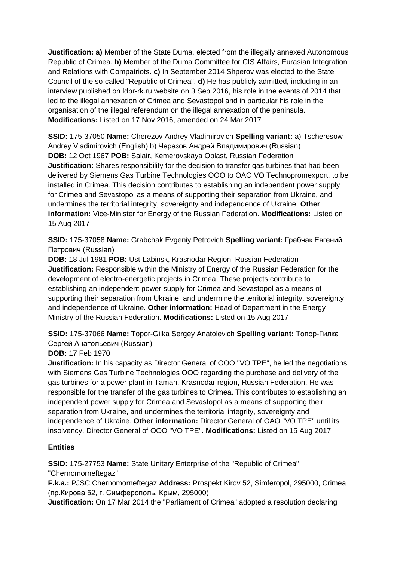**Justification: a)** Member of the State Duma, elected from the illegally annexed Autonomous Republic of Crimea. **b)** Member of the Duma Committee for CIS Affairs, Eurasian Integration and Relations with Compatriots. **c)** In September 2014 Shperov was elected to the State Council of the so-called "Republic of Crimea". **d)** He has publicly admitted, including in an interview published on ldpr-rk.ru website on 3 Sep 2016, his role in the events of 2014 that led to the illegal annexation of Crimea and Sevastopol and in particular his role in the organisation of the illegal referendum on the illegal annexation of the peninsula. **Modifications:** Listed on 17 Nov 2016, amended on 24 Mar 2017

**SSID:** 175-37050 **Name:** Cherezov Andrey Vladimirovich **Spelling variant:** a) Tscheresow Andrey Vladimirovich (English) b) Черезов Андрей Владимирович (Russian) **DOB:** 12 Oct 1967 **POB:** Salair, Kemerovskaya Oblast, Russian Federation **Justification:** Shares responsibility for the decision to transfer gas turbines that had been delivered by Siemens Gas Turbine Technologies OOO to OAO VO Technopromexport, to be installed in Crimea. This decision contributes to establishing an independent power supply for Crimea and Sevastopol as a means of supporting their separation from Ukraine, and undermines the territorial integrity, sovereignty and independence of Ukraine. **Other information:** Vice-Minister for Energy of the Russian Federation. **Modifications:** Listed on 15 Aug 2017

**SSID:** 175-37058 **Name:** Grabchak Evgeniy Petrovich **Spelling variant:** Грабчак Евгений Петрович (Russian)

**DOB:** 18 Jul 1981 **POB:** Ust-Labinsk, Krasnodar Region, Russian Federation **Justification:** Responsible within the Ministry of Energy of the Russian Federation for the development of electro-energetic projects in Crimea. These projects contribute to establishing an independent power supply for Crimea and Sevastopol as a means of supporting their separation from Ukraine, and undermine the territorial integrity, sovereignty and independence of Ukraine. **Other information:** Head of Department in the Energy Ministry of the Russian Federation. **Modifications:** Listed on 15 Aug 2017

**SSID:** 175-37066 **Name:** Topor-Gilka Sergey Anatolevich **Spelling variant:** Топор-Гилка Сергей Анатольевич (Russian)

## **DOB:** 17 Feb 1970

**Justification:** In his capacity as Director General of OOO "VO TPE", he led the negotiations with Siemens Gas Turbine Technologies OOO regarding the purchase and delivery of the gas turbines for a power plant in Taman, Krasnodar region, Russian Federation. He was responsible for the transfer of the gas turbines to Crimea. This contributes to establishing an independent power supply for Crimea and Sevastopol as a means of supporting their separation from Ukraine, and undermines the territorial integrity, sovereignty and independence of Ukraine. **Other information:** Director General of OAO "VO TPE" until its insolvency, Director General of OOO "VO TPE". **Modifications:** Listed on 15 Aug 2017

## **Entities**

**SSID:** 175-27753 **Name:** State Unitary Enterprise of the "Republic of Crimea" "Chernomorneftegaz"

**F.k.a.:** PJSC Chernomorneftegaz **Address:** Prospekt Kirov 52, Simferopol, 295000, Crimea (пр.Кирова 52, г. Симферополь, Крым, 295000)

**Justification:** On 17 Mar 2014 the "Parliament of Crimea" adopted a resolution declaring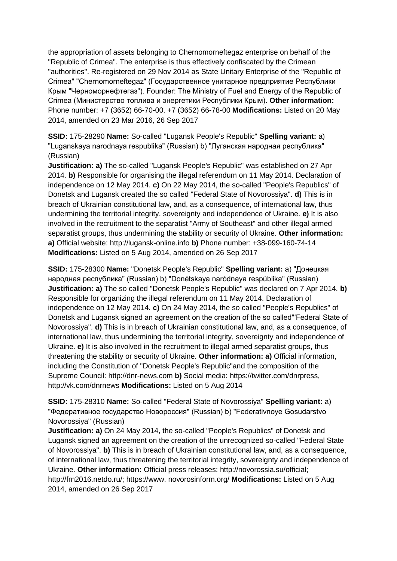the appropriation of assets belonging to Chernomorneftegaz enterprise on behalf of the "Republic of Crimea". The enterprise is thus effectively confiscated by the Crimean "authorities". Re-registered on 29 Nov 2014 as State Unitary Enterprise of the "Republic of Crimea" "Chernomorneftegaz" (Государственное унитарное предприятие Республики Крым "Черноморнефтегаз"). Founder: The Ministry of Fuel and Energy of the Republic of Crimea (Министерство топлива и энергетики Республики Крым). **Other information:** Phone number: +7 (3652) 66-70-00, +7 (3652) 66-78-00 **Modifications:** Listed on 20 May 2014, amended on 23 Mar 2016, 26 Sep 2017

**SSID:** 175-28290 **Name:** So-called "Lugansk People's Republic" **Spelling variant:** a) "Luganskaya narodnaya respublika" (Russian) b) "Луганская народная республика" (Russian)

**Justification: a)** The so-called "Lugansk People's Republic" was established on 27 Apr 2014. **b)** Responsible for organising the illegal referendum on 11 May 2014. Declaration of independence on 12 May 2014. **c)** On 22 May 2014, the so-called "People's Republics" of Donetsk and Lugansk created the so called "Federal State of Novorossiya". **d)** This is in breach of Ukrainian constitutional law, and, as a consequence, of international law, thus undermining the territorial integrity, sovereignty and independence of Ukraine. **e)** It is also involved in the recruitment to the separatist "Army of Southeast" and other illegal armed separatist groups, thus undermining the stability or security of Ukraine. **Other information: a)** Official website: http://lugansk-online.info **b)** Phone number: +38-099-160-74-14 **Modifications:** Listed on 5 Aug 2014, amended on 26 Sep 2017

**SSID:** 175-28300 **Name:** "Donetsk People's Republic" **Spelling variant:** a) "Донецкая народная республика" (Russian) b) "Donétskaya naródnaya respúblika" (Russian) **Justification: a)** The so called "Donetsk People's Republic" was declared on 7 Apr 2014. **b)**  Responsible for organizing the illegal referendum on 11 May 2014. Declaration of independence on 12 May 2014. **c)** On 24 May 2014, the so called "People's Republics" of Donetsk and Lugansk signed an agreement on the creation of the so called"'Federal State of Novorossiya". **d)** This is in breach of Ukrainian constitutional law, and, as a consequence, of international law, thus undermining the territorial integrity, sovereignty and independence of Ukraine. **e)** It is also involved in the recruitment to illegal armed separatist groups, thus threatening the stability or security of Ukraine. **Other information: a)** Official information, including the Constitution of "Donetsk People's Republic"and the composition of the Supreme Council: http://dnr-news.com **b)** Social media: https://twitter.com/dnrpress, http://vk.com/dnrnews **Modifications:** Listed on 5 Aug 2014

**SSID:** 175-28310 **Name:** So-called "Federal State of Novorossiya" **Spelling variant:** a) "Федеративное государство Новороссия" (Russian) b) "Federativnoye Gosudarstvo Novorossiya" (Russian)

**Justification: a)** On 24 May 2014, the so-called "People's Republics" of Donetsk and Lugansk signed an agreement on the creation of the unrecognized so-called "Federal State of Novorossiya". **b)** This is in breach of Ukrainian constitutional law, and, as a consequence, of international law, thus threatening the territorial integrity, sovereignty and independence of Ukraine. **Other information:** Official press releases: http://novorossia.su/official; http://frn2016.netdo.ru/; https://www. novorosinform.org/ **Modifications:** Listed on 5 Aug 2014, amended on 26 Sep 2017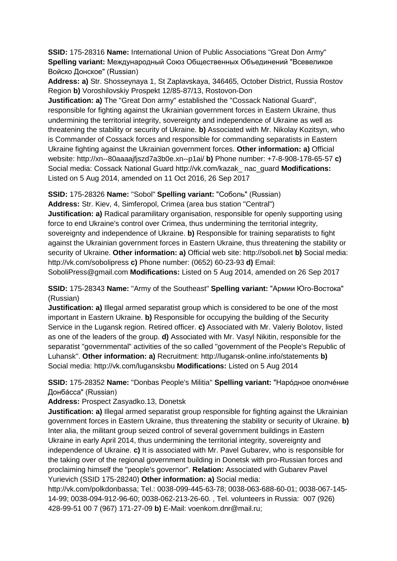**SSID:** 175-28316 **Name:** International Union of Public Associations "Great Don Army" **Spelling variant:** Международный Союз Общественных Объединений "Всевеликое Войско Донское" (Russian)

**Address: a)** Str. Shosseynaya 1, St Zaplavskaya, 346465, October District, Russia Rostov Region **b)** Voroshilovskiy Prospekt 12/85-87/13, Rostovon-Don

**Justification: a)** The "Great Don army" established the "Cossack National Guard", responsible for fighting against the Ukrainian government forces in Eastern Ukraine, thus undermining the territorial integrity, sovereignty and independence of Ukraine as well as threatening the stability or security of Ukraine. **b)** Associated with Mr. Nikolay Kozitsyn, who is Commander of Cossack forces and responsible for commanding separatists in Eastern Ukraine fighting against the Ukrainian government forces. **Other information: a)** Official website: http://xn--80aaaajfjszd7a3b0e.xn--p1ai/ **b)** Phone number: +7-8-908-178-65-57 **c)**  Social media: Cossack National Guard http://vk.com/kazak\_ nac\_guard **Modifications:**  Listed on 5 Aug 2014, amended on 11 Oct 2016, 26 Sep 2017

**SSID:** 175-28326 **Name:** "Sobol" **Spelling variant:** "Соболь" (Russian)

**Address:** Str. Kiev, 4, Simferopol, Crimea (area bus station "Central")

**Justification: a)** Radical paramilitary organisation, responsible for openly supporting using force to end Ukraine's control over Crimea, thus undermining the territorial integrity, sovereignty and independence of Ukraine. **b)** Responsible for training separatists to fight against the Ukrainian government forces in Eastern Ukraine, thus threatening the stability or security of Ukraine. **Other information: a)** Official web site: http://soboli.net **b)** Social media: http://vk.com/sobolipress **c)** Phone number: (0652) 60-23-93 **d)** Email:

SoboliPress@gmail.com **Modifications:** Listed on 5 Aug 2014, amended on 26 Sep 2017

**SSID:** 175-28343 **Name:** "Army of the Southeast" **Spelling variant:** "Армии Юго-Востока" (Russian)

**Justification: a)** Illegal armed separatist group which is considered to be one of the most important in Eastern Ukraine. **b)** Responsible for occupying the building of the Security Service in the Lugansk region. Retired officer. **c)** Associated with Mr. Valeriy Bolotov, listed as one of the leaders of the group. **d)** Associated with Mr. Vasyl Nikitin, responsible for the separatist "governmental" activities of the so called "government of the People's Republic of Luhansk". **Other information: a)** Recruitment: http://lugansk-online.info/statements **b)**  Social media: http://vk.com/lugansksbu **Modifications:** Listed on 5 Aug 2014

**SSID:** 175-28352 **Name:** "Donbas People's Militia" **Spelling variant:** "Нарóдное ополчéние Донбáсса" (Russian)

**Address:** Prospect Zasyadko.13, Donetsk

**Justification: a)** Illegal armed separatist group responsible for fighting against the Ukrainian government forces in Eastern Ukraine, thus threatening the stability or security of Ukraine. **b)**  Inter alia, the militant group seized control of several government buildings in Eastern Ukraine in early April 2014, thus undermining the territorial integrity, sovereignty and independence of Ukraine. **c)** It is associated with Mr. Pavel Gubarev, who is responsible for the taking over of the regional government building in Donetsk with pro-Russian forces and proclaiming himself the "people's governor". **Relation:** Associated with Gubarev Pavel Yurievich (SSID 175-28240) **Other information: a)** Social media:

http://vk.com/polkdonbassa; Tel.: 0038-099-445-63-78; 0038-063-688-60-01; 0038-067-145- 14-99; 0038-094-912-96-60; 0038-062-213-26-60. , Tel. volunteers in Russia: 007 (926) 428-99-51 00 7 (967) 171-27-09 **b)** E-Mail: voenkom.dnr@mail.ru;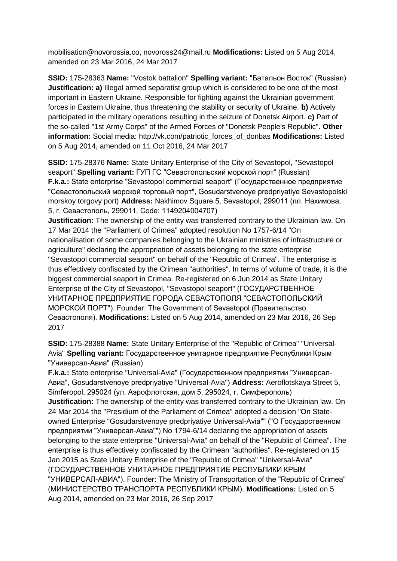mobilisation@novorossia.co, novoross24@mail.ru **Modifications:** Listed on 5 Aug 2014, amended on 23 Mar 2016, 24 Mar 2017

**SSID:** 175-28363 **Name:** "Vostok battalion" **Spelling variant:** "Батальон Восток" (Russian) **Justification: a)** Illegal armed separatist group which is considered to be one of the most important in Eastern Ukraine. Responsible for fighting against the Ukrainian government forces in Eastern Ukraine, thus threatening the stability or security of Ukraine. **b)** Actively participated in the military operations resulting in the seizure of Donetsk Airport. **c)** Part of the so-called "1st Army Corps" of the Armed Forces of "Donetsk People's Republic". **Other information:** Social media: http://vk.com/patriotic\_forces\_of\_donbas **Modifications:** Listed on 5 Aug 2014, amended on 11 Oct 2016, 24 Mar 2017

**SSID:** 175-28376 **Name:** State Unitary Enterprise of the City of Sevastopol, "Sevastopol seaport" **Spelling variant:** ГУП ГС "Севастопольский морской порт" (Russian) **F.k.a.:** State enterprise "Sevastopol commercial seaport" (Государственное предприятие "Севастопольский морской торговый порт", Gosudarstvenoye predpriyatiye Sevastopolski morskoy torgovy port) **Address:** Nakhimov Square 5, Sevastopol, 299011 (пл. Нахимова, 5, г. Севастополь, 299011, Code: 1149204004707)

**Justification:** The ownership of the entity was transferred contrary to the Ukrainian law. On 17 Mar 2014 the "Parliament of Crimea" adopted resolution No 1757-6/14 "On nationalisation of some companies belonging to the Ukrainian ministries of infrastructure or agriculture" declaring the appropriation of assets belonging to the state enterprise "Sevastopol commercial seaport" on behalf of the "Republic of Crimea". The enterprise is thus effectively confiscated by the Crimean "authorities". In terms of volume of trade, it is the biggest commercial seaport in Crimea. Re-registered on 6 Jun 2014 as State Unitary Enterprise of the City of Sevastopol, "Sevastopol seaport" (ГОСУДАРСТВЕННОЕ УНИТАРНОЕ ПРЕДПРИЯТИЕ ГОРОДА СЕВАСТОПОЛЯ "СЕВАСТОПОЛЬСКИЙ МОРСКОЙ ПОРТ"). Founder: The Government of Sevastopol (Правительство Севастополя). **Modifications:** Listed on 5 Aug 2014, amended on 23 Mar 2016, 26 Sep 2017

**SSID:** 175-28388 **Name:** State Unitary Enterprise of the "Republic of Crimea" "Universal-Avia" **Spelling variant:** Государственное унитарное предприятие Республики Крым "Универсал-Авиа" (Russian)

**F.k.a.:** State enterprise "Universal-Avia" (Государственном предприятии "Универсал-Авиа", Gosudarstvenoye predpriyatiye "Universal-Avia") **Address:** Aeroflotskaya Street 5, Simferopol, 295024 (ул. Аэрофлотская, дом 5, 295024, г. Симферополь) **Justification:** The ownership of the entity was transferred contrary to the Ukrainian law. On 24 Mar 2014 the "Presidium of the Parliament of Crimea" adopted a decision "On Stateowned Enterprise "Gosudarstvenoye predpriyatiye Universal-Avia"" ("О Государственном предприятии "Универсал-Авиа"") No 1794-6/14 declaring the appropriation of assets belonging to the state enterprise "Universal-Avia" on behalf of the "Republic of Crimea". The enterprise is thus effectively confiscated by the Crimean "authorities". Re-registered on 15 Jan 2015 as State Unitary Enterprise of the "Republic of Crimea" "Universal-Avia" (ГОСУДАРСТВЕННОЕ УНИТАРНОЕ ПРЕДПРИЯТИЕ РЕСПУБЛИКИ КРЫМ "УНИВЕРСАЛ-АВИА"). Founder: The Ministry of Transportation of the "Republic of Crimea" (МИНИСТЕРСТВО ТРАНСПОРТА РЕСПУБЛИКИ КРЫМ). **Modifications:** Listed on 5 Aug 2014, amended on 23 Mar 2016, 26 Sep 2017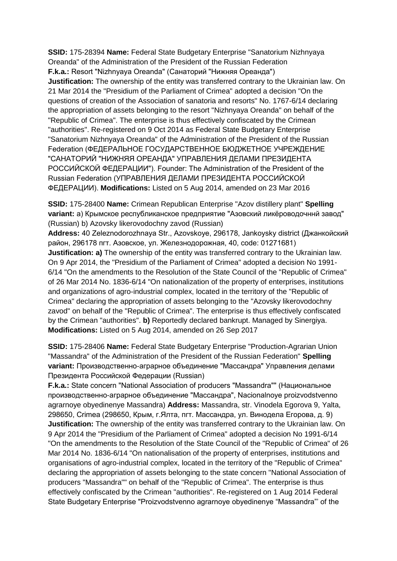**SSID:** 175-28394 **Name:** Federal State Budgetary Enterprise "Sanatorium Nizhnyaya Oreanda" of the Administration of the President of the Russian Federation **F.k.a.:** Resort "Nizhnyaya Oreanda" (Санаторий "Нижняя Ореанда") **Justification:** The ownership of the entity was transferred contrary to the Ukrainian law. On 21 Mar 2014 the "Presidium of the Parliament of Crimea" adopted a decision "On the questions of creation of the Association of sanatoria and resorts" No. 1767-6/14 declaring the appropriation of assets belonging to the resort "Nizhnyaya Oreanda" on behalf of the "Republic of Crimea". The enterprise is thus effectively confiscated by the Crimean "authorities". Re-registered on 9 Oct 2014 as Federal State Budgetary Enterprise "Sanatorium Nizhnyaya Oreanda" of the Administration of the President of the Russian Federation (ФЕДЕРАЛЬНОЕ ГОСУДАРСТВЕННОЕ БЮДЖЕТНОЕ УЧРЕЖДЕНИЕ "САНАТОРИЙ "НИЖНЯЯ ОРЕАНДА" УПРАВЛЕНИЯ ДЕЛАМИ ПРЕЗИДЕНТА РОССИЙСКОЙ ФЕДЕРАЦИИ"). Founder: The Administration of the President of the Russian Federation (УПРАВЛЕНИЯ ДЕЛАМИ ПРЕЗИДЕНТА РОССИЙСКОЙ ФЕДЕРАЦИИ). **Modifications:** Listed on 5 Aug 2014, amended on 23 Mar 2016

**SSID:** 175-28400 **Name:** Crimean Republican Enterprise "Azov distillery plant" **Spelling variant:** a) Крымское республиканское предприятие "Азовский ликёроводочннй завод" (Russian) b) Azovsky likerovodochny zavod (Russian)

**Address:** 40 Zeleznodorozhnaya Str., Azovskoye, 296178, Jankoysky district (Джанкойский район, 296178 пгт. Азовское, ул. Железнодорожная, 40, code: 01271681) **Justification: a)** The ownership of the entity was transferred contrary to the Ukrainian law. On 9 Apr 2014, the "Presidium of the Parliament of Crimea" adopted a decision No 1991- 6/14 "On the amendments to the Resolution of the State Council of the "Republic of Crimea" of 26 Mar 2014 No. 1836-6/14 "On nationalization of the property of enterprises, institutions and organizations of agro-industrial complex, located in the territory of the "Republic of Crimea" declaring the appropriation of assets belonging to the "Azovsky likerovodochny zavod" on behalf of the "Republic of Crimea". The enterprise is thus effectively confiscated by the Crimean "authorities". **b)** Reportedly declared bankrupt. Managed by Sinergiya. **Modifications:** Listed on 5 Aug 2014, amended on 26 Sep 2017

**SSID:** 175-28406 **Name:** Federal State Budgetary Enterprise "Production-Agrarian Union "Massandra" of the Administration of the President of the Russian Federation" **Spelling variant:** Производственно-аграрное объединение "Массандра" Управления делами Президента Российской Федерации (Russian)

**F.k.a.:** State concern "National Association of producers "Massandra"" (Национальное производственно-аграрное объединение "Массандра", Nacionalnoye proizvodstvenno agrarnoye obyedinenye Massandra) **Address:** Massandra, str. Vinodela Egorova 9, Yalta, 298650, Crimea (298650, Крым, г.Ялта, пгт. Массандра, ул. Винодела Егорова, д. 9) **Justification:** The ownership of the entity was transferred contrary to the Ukrainian law. On 9 Apr 2014 the "Presidium of the Parliament of Crimea" adopted a decision No 1991-6/14 "On the amendments to the Resolution of the State Council of the "Republic of Crimea" of 26 Mar 2014 No. 1836-6/14 "On nationalisation of the property of enterprises, institutions and organisations of agro-industrial complex, located in the territory of the "Republic of Crimea" declaring the appropriation of assets belonging to the state concern "National Association of producers "Massandra"" on behalf of the "Republic of Crimea". The enterprise is thus effectively confiscated by the Crimean "authorities". Re-registered on 1 Aug 2014 Federal State Budgetary Enterprise "Proizvodstvenno agrarnoye obyedinenye "Massandra"' of the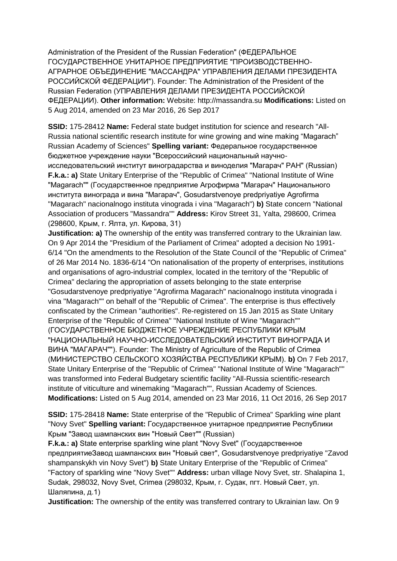Administration of the President of the Russian Federation" (ФЕДЕРАЛЬНОЕ ГОСУДАРСТВЕННОЕ УНИТАРНОЕ ПРЕДПРИЯТИЕ "ПРОИЗВОДСТВЕННО-АГРАРНОЕ ОБЪЕДИНЕНИЕ "МАССАНДРА" УПРАВЛЕНИЯ ДЕЛАМИ ПРЕЗИДЕНТА РОССИЙСКОЙ ФЕДЕРАЦИИ"). Founder: The Administration of the President of the Russian Federation (УПРАВЛЕНИЯ ДЕЛАМИ ПРЕЗИДЕНТА РОССИЙСКОЙ ФЕДЕРАЦИИ). **Other information:** Website: http://massandra.su **Modifications:** Listed on 5 Aug 2014, amended on 23 Mar 2016, 26 Sep 2017

**SSID:** 175-28412 **Name:** Federal state budget institution for science and research "All-Russia national scientific research institute for wine growing and wine making "Magarach" Russian Academy of Sciences" **Spelling variant:** Федеральное государственное бюджетное учреждение науки "Всероссийский национальный научноисследовательский институт виноградарства и виноделия "Магарач" РАН" (Russian) **F.k.a.: a)** State Unitary Enterprise of the "Republic of Crimea" "National Institute of Wine "Magarach"" (Государственное предприятие Агрофирма "Магарач" Национального института винограда и вина "Магарач", Gosudarstvenoye predpriyatiye Agrofirma "Magarach" nacionalnogo instituta vinograda i vina "Magarach") **b)** State concern "National Association of producers "Massandra"" **Address:** Kirov Street 31, Yalta, 298600, Crimea (298600, Крым, г. Ялта, ул. Кирова, 31)

**Justification: a)** The ownership of the entity was transferred contrary to the Ukrainian law. On 9 Apr 2014 the "Presidium of the Parliament of Crimea" adopted a decision No 1991- 6/14 "On the amendments to the Resolution of the State Council of the "Republic of Crimea" of 26 Mar 2014 No. 1836-6/14 "On nationalisation of the property of enterprises, institutions and organisations of agro-industrial complex, located in the territory of the "Republic of Crimea" declaring the appropriation of assets belonging to the state enterprise "Gosudarstvenoye predpriyatiye "Agrofirma Magarach" nacionalnogo instituta vinograda i vina "Magarach"" on behalf of the "Republic of Crimea". The enterprise is thus effectively confiscated by the Crimean "authorities". Re-registered on 15 Jan 2015 as State Unitary Enterprise of the "Republic of Crimea" "National Institute of Wine "Magarach"" (ГОСУДАРСТВЕННОЕ БЮДЖЕТНОЕ УЧРЕЖДЕНИЕ РЕСПУБЛИКИ КРЫМ "НАЦИОНАЛЬНЫЙ НАУЧНО-ИССЛЕДОВАТЕЛЬСКИЙ ИНСТИТУТ ВИНОГРАДА И ВИНА "МАГАРАЧ""). Founder: The Ministry of Agriculture of the Republic of Crimea (МИНИСТЕРСТВО СЕЛЬСКОГО ХОЗЯЙСТВА РЕСПУБЛИКИ КРЫМ). **b)** On 7 Feb 2017, State Unitary Enterprise of the "Republic of Crimea" "National Institute of Wine "Magarach"" was transformed into Federal Budgetary scientific facility "All-Russia scientific-research institute of viticulture and winemaking "Magarach"", Russian Academy of Sciences. **Modifications:** Listed on 5 Aug 2014, amended on 23 Mar 2016, 11 Oct 2016, 26 Sep 2017

**SSID:** 175-28418 **Name:** State enterprise of the "Republic of Crimea" Sparkling wine plant "Novy Svet" **Spelling variant:** Государственное унитарное предприятие Республики Крым "Завод шампанских вин "Новый Свет"" (Russian)

**F.k.a.: a)** State enterprise sparkling wine plant "Novy Svet" (Государственное предприятиеЗавод шампанских вин "Новый свет", Gosudarstvenoye predpriyatiye "Zavod shampanskykh vin Novy Svet") **b)** State Unitary Enterprise of the "Republic of Crimea" "Factory of sparkling wine "Novy Svet"" **Address:** urban village Novy Svet, str. Shalapina 1, Sudak, 298032, Novy Svet, Crimea (298032, Крым, г. Судак, пгт. Новый Свет, ул. Шаляпина, д.1)

**Justification:** The ownership of the entity was transferred contrary to Ukrainian law. On 9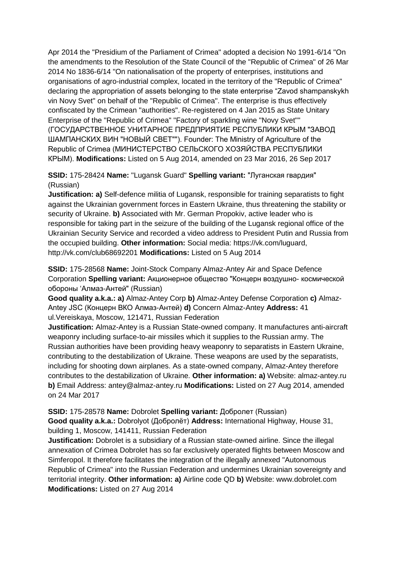Apr 2014 the "Presidium of the Parliament of Crimea" adopted a decision No 1991-6/14 "On the amendments to the Resolution of the State Council of the "Republic of Crimea" of 26 Mar 2014 No 1836-6/14 "On nationalisation of the property of enterprises, institutions and organisations of agro-industrial complex, located in the territory of the "Republic of Crimea" declaring the appropriation of assets belonging to the state enterprise "Zavod shampanskykh vin Novy Svet" on behalf of the "Republic of Crimea". The enterprise is thus effectively confiscated by the Crimean "authorities". Re-registered on 4 Jan 2015 as State Unitary Enterprise of the "Republic of Crimea" "Factory of sparkling wine "Novy Svet"" (ГОСУДАРСТВЕННОЕ УНИТАРНОЕ ПРЕДПРИЯТИЕ РЕСПУБЛИКИ КРЫМ "ЗАВОД ШАМПАНСКИХ ВИН "НОВЫЙ СВЕТ""). Founder: The Ministry of Agriculture of the Republic of Crimea (МИНИСТЕРСТВО СЕЛЬСКОГО ХОЗЯЙСТВА РЕСПУБЛИКИ КРЫМ). **Modifications:** Listed on 5 Aug 2014, amended on 23 Mar 2016, 26 Sep 2017

## **SSID:** 175-28424 **Name:** "Lugansk Guard" **Spelling variant:** "Луганская гвардия" (Russian)

**Justification: a)** Self-defence militia of Lugansk, responsible for training separatists to fight against the Ukrainian government forces in Eastern Ukraine, thus threatening the stability or security of Ukraine. **b)** Associated with Mr. German Propokiv, active leader who is responsible for taking part in the seizure of the building of the Lugansk regional office of the Ukrainian Security Service and recorded a video address to President Putin and Russia from the occupied building. **Other information:** Social media: https://vk.com/luguard, http://vk.com/club68692201 **Modifications:** Listed on 5 Aug 2014

**SSID:** 175-28568 **Name:** Joint-Stock Company Almaz-Antey Air and Space Defence Corporation **Spelling variant:** Акционерное общество "Концерн воздушно- космической обороны 'Алмаз-Антей" (Russian)

**Good quality a.k.a.: a)** Almaz-Antey Corp **b)** Almaz-Antey Defense Corporation **c)** Almaz-Antey JSC (Концерн ВКО Алмаз-Антей) **d)** Concern Almaz-Antey **Address:** 41 ul.Vereiskaya, Moscow, 121471, Russian Federation

**Justification:** Almaz-Antey is a Russian State-owned company. It manufactures anti-aircraft weaponry including surface-to-air missiles which it supplies to the Russian army. The Russian authorities have been providing heavy weaponry to separatists in Eastern Ukraine, contributing to the destabilization of Ukraine. These weapons are used by the separatists, including for shooting down airplanes. As a state-owned company, Almaz-Antey therefore contributes to the destabilization of Ukraine. **Other information: a)** Website: almaz-antey.ru **b)** Email Address: antey@almaz-antey.ru **Modifications:** Listed on 27 Aug 2014, amended on 24 Mar 2017

#### **SSID:** 175-28578 **Name:** Dobrolet **Spelling variant:** Добролет (Russian)

**Good quality a.k.a.:** Dobrolyot (Добролёт) **Address:** International Highway, House 31, building 1, Moscow, 141411, Russian Federation

**Justification:** Dobrolet is a subsidiary of a Russian state-owned airline. Since the illegal annexation of Crimea Dobrolet has so far exclusively operated flights between Moscow and Simferopol. It therefore facilitates the integration of the illegally annexed "Autonomous Republic of Crimea" into the Russian Federation and undermines Ukrainian sovereignty and territorial integrity. **Other information: a)** Airline code QD **b)** Website: www.dobrolet.com **Modifications:** Listed on 27 Aug 2014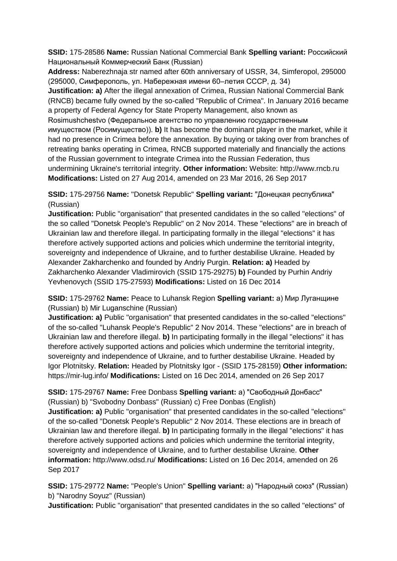**SSID:** 175-28586 **Name:** Russian National Commercial Bank **Spelling variant:** Российский Национальный Коммерческий Банк (Russian)

**Address:** Naberezhnaja str named after 60th anniversary of USSR, 34, Simferopol, 295000 (295000, Симферополь, ул. Набережная имени 60–летия СССР, д. 34) **Justification: a)** After the illegal annexation of Crimea, Russian National Commercial Bank (RNCB) became fully owned by the so-called "Republic of Crimea". In January 2016 became a property of Federal Agency for State Property Management, also known as Rosimushchestvo (Федеральное агентство по управлению государственным имуществом (Росимущество)). **b)** It has become the dominant player in the market, while it had no presence in Crimea before the annexation. By buying or taking over from branches of retreating banks operating in Crimea, RNCB supported materially and financially the actions of the Russian government to integrate Crimea into the Russian Federation, thus undermining Ukraine's territorial integrity. **Other information:** Website: http://www.rncb.ru **Modifications:** Listed on 27 Aug 2014, amended on 23 Mar 2016, 26 Sep 2017

**SSID:** 175-29756 **Name:** "Donetsk Republic" **Spelling variant:** "Донецкая республика" (Russian)

**Justification:** Public "organisation" that presented candidates in the so called "elections" of the so called "Donetsk People's Republic" on 2 Nov 2014. These "elections" are in breach of Ukrainian law and therefore illegal. In participating formally in the illegal "elections" it has therefore actively supported actions and policies which undermine the territorial integrity, sovereignty and independence of Ukraine, and to further destabilise Ukraine. Headed by Alexander Zakharchenko and founded by Andriy Purgin. **Relation: a)** Headed by Zakharchenko Alexander Vladimirovich (SSID 175-29275) **b)** Founded by Purhin Andriy Yevhenovych (SSID 175-27593) **Modifications:** Listed on 16 Dec 2014

**SSID:** 175-29762 **Name:** Peace to Luhansk Region **Spelling variant:** a) Мир Луганщине (Russian) b) Mir Luganschine (Russian)

**Justification: a)** Public "organisation" that presented candidates in the so-called "elections" of the so-called "Luhansk People's Republic" 2 Nov 2014. These "elections" are in breach of Ukrainian law and therefore illegal. **b)** In participating formally in the illegal "elections" it has therefore actively supported actions and policies which undermine the territorial integrity, sovereignty and independence of Ukraine, and to further destabilise Ukraine. Headed by Igor Plotnitsky. **Relation:** Headed by Plotnitsky Igor - (SSID 175-28159) **Other information:** https://mir-lug.info/ **Modifications:** Listed on 16 Dec 2014, amended on 26 Sep 2017

**SSID:** 175-29767 **Name:** Free Donbass **Spelling variant:** a) "Свободный Донбасс" (Russian) b) "Svobodny Donbass" (Russian) c) Free Donbas (English)

**Justification: a)** Public "organisation" that presented candidates in the so-called "elections" of the so-called "Donetsk People's Republic" 2 Nov 2014. These elections are in breach of Ukrainian law and therefore illegal. **b)** In participating formally in the illegal "elections" it has therefore actively supported actions and policies which undermine the territorial integrity, sovereignty and independence of Ukraine, and to further destabilise Ukraine. **Other information:** http://www.odsd.ru/ **Modifications:** Listed on 16 Dec 2014, amended on 26 Sep 2017

**SSID:** 175-29772 **Name:** "People's Union" **Spelling variant:** a) "Народный союз" (Russian) b) "Narodny Soyuz" (Russian)

**Justification:** Public "organisation" that presented candidates in the so called "elections" of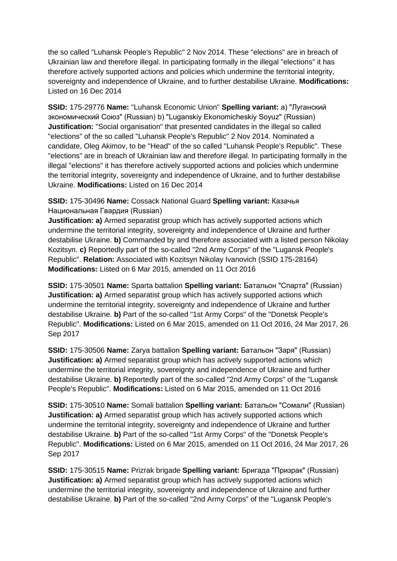the so called "Luhansk People's Republic" 2 Nov 2014. These "elections" are in breach of Ukrainian law and therefore illegal. In participating formally in the illegal "elections" it has therefore actively supported actions and policies which undermine the territorial integrity, sovereignty and independence of Ukraine, and to further destabilise Ukraine. **Modifications:**  Listed on 16 Dec 2014

**SSID:** 175-29776 **Name:** "Luhansk Economic Union" **Spelling variant:** a) "Луганский экономический Союз" (Russian) b) "Luganskiy Ekonomicheskiy Soyuz" (Russian) **Justification:** "Social organisation" that presented candidates in the illegal so called "elections" of the so called "Luhansk People's Republic" 2 Nov 2014. Nominated a candidate, Oleg Akimov, to be "Head" of the so called "Luhansk People's Republic". These "elections" are in breach of Ukrainian law and therefore illegal. In participating formally in the illegal "elections" it has therefore actively supported actions and policies which undermine the territorial integrity, sovereignty and independence of Ukraine, and to further destabilise Ukraine. **Modifications:** Listed on 16 Dec 2014

## **SSID:** 175-30496 **Name:** Cossack National Guard **Spelling variant:** Казачья Национальная Гвардия (Russian)

**Justification: a)** Armed separatist group which has actively supported actions which undermine the territorial integrity, sovereignty and independence of Ukraine and further destabilise Ukraine. **b)** Commanded by and therefore associated with a listed person Nikolay Kozitsyn. **c)** Reportedly part of the so-called "2nd Army Corps" of the "Lugansk People's Republic". **Relation:** Associated with Kozitsyn Nikolay Ivanovich (SSID 175-28164) **Modifications:** Listed on 6 Mar 2015, amended on 11 Oct 2016

**SSID:** 175-30501 **Name:** Sparta battalion **Spelling variant:** Батальон "Спарта" (Russian) **Justification: a)** Armed separatist group which has actively supported actions which undermine the territorial integrity, sovereignty and independence of Ukraine and further destabilise Ukraine. **b)** Part of the so-called "1st Army Corps" of the "Donetsk People's Republic". **Modifications:** Listed on 6 Mar 2015, amended on 11 Oct 2016, 24 Mar 2017, 26 Sep 2017

**SSID:** 175-30506 **Name:** Zarya battalion **Spelling variant:** Батальон "Заря" (Russian) **Justification: a)** Armed separatist group which has actively supported actions which undermine the territorial integrity, sovereignty and independence of Ukraine and further destabilise Ukraine. **b)** Reportedly part of the so-called "2nd Army Corps" of the "Lugansk People's Republic". **Modifications:** Listed on 6 Mar 2015, amended on 11 Oct 2016

**SSID:** 175-30510 **Name:** Somali battalion **Spelling variant:** Батальон "Сомали" (Russian) **Justification: a)** Armed separatist group which has actively supported actions which undermine the territorial integrity, sovereignty and independence of Ukraine and further destabilise Ukraine. **b)** Part of the so-called "1st Army Corps" of the "Donetsk People's Republic". **Modifications:** Listed on 6 Mar 2015, amended on 11 Oct 2016, 24 Mar 2017, 26 Sep 2017

**SSID:** 175-30515 **Name:** Prizrak brigade **Spelling variant:** Бригада "Призрак" (Russian) **Justification: a)** Armed separatist group which has actively supported actions which undermine the territorial integrity, sovereignty and independence of Ukraine and further destabilise Ukraine. **b)** Part of the so-called "2nd Army Corps" of the "Lugansk People's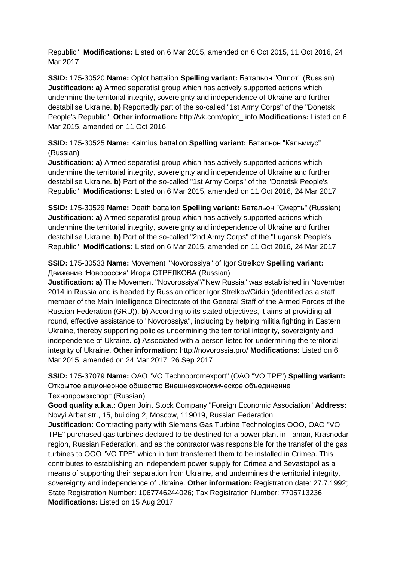Republic". **Modifications:** Listed on 6 Mar 2015, amended on 6 Oct 2015, 11 Oct 2016, 24 Mar 2017

**SSID:** 175-30520 **Name:** Oplot battalion **Spelling variant:** Батальон "Оплот" (Russian) **Justification: a)** Armed separatist group which has actively supported actions which undermine the territorial integrity, sovereignty and independence of Ukraine and further destabilise Ukraine. **b)** Reportedly part of the so-called "1st Army Corps" of the "Donetsk People's Republic". **Other information:** http://vk.com/oplot\_ info **Modifications:** Listed on 6 Mar 2015, amended on 11 Oct 2016

**SSID:** 175-30525 **Name:** Kalmius battalion **Spelling variant:** Батальон "Кальмиус" (Russian)

**Justification: a)** Armed separatist group which has actively supported actions which undermine the territorial integrity, sovereignty and independence of Ukraine and further destabilise Ukraine. **b)** Part of the so-called "1st Army Corps" of the "Donetsk People's Republic". **Modifications:** Listed on 6 Mar 2015, amended on 11 Oct 2016, 24 Mar 2017

**SSID:** 175-30529 **Name:** Death battalion **Spelling variant:** Батальон "Смерть" (Russian) **Justification: a)** Armed separatist group which has actively supported actions which undermine the territorial integrity, sovereignty and independence of Ukraine and further destabilise Ukraine. **b)** Part of the so-called "2nd Army Corps" of the "Lugansk People's Republic". **Modifications:** Listed on 6 Mar 2015, amended on 11 Oct 2016, 24 Mar 2017

# **SSID:** 175-30533 **Name:** Movement "Novorossiya" of Igor Strelkov **Spelling variant:**  Движение 'Новороссия' Игоря СТРЕЛКОВА (Russian)

**Justification: a)** The Movement "Novorossiya"/"New Russia" was established in November 2014 in Russia and is headed by Russian officer Igor Strelkov/Girkin (identified as a staff member of the Main Intelligence Directorate of the General Staff of the Armed Forces of the Russian Federation (GRU)). **b)** According to its stated objectives, it aims at providing allround, effective assistance to "Novorossiya", including by helping militia fighting in Eastern Ukraine, thereby supporting policies undermining the territorial integrity, sovereignty and independence of Ukraine. **c)** Associated with a person listed for undermining the territorial integrity of Ukraine. **Other information:** http://novorossia.pro/ **Modifications:** Listed on 6 Mar 2015, amended on 24 Mar 2017, 26 Sep 2017

**SSID:** 175-37079 **Name:** OAO "VO Technopromexport" (OAO "VO TPE") **Spelling variant:**  Открытое акционерное общество Внешнеэкономическое объединение Технопромэкспорт (Russian)

**Good quality a.k.a.:** Open Joint Stock Company "Foreign Economic Association" **Address:** Novyi Arbat str., 15, building 2, Moscow, 119019, Russian Federation

**Justification:** Contracting party with Siemens Gas Turbine Technologies OOO, OAO "VO TPE" purchased gas turbines declared to be destined for a power plant in Taman, Krasnodar region, Russian Federation, and as the contractor was responsible for the transfer of the gas turbines to OOO "VO TPE" which in turn transferred them to be installed in Crimea. This contributes to establishing an independent power supply for Crimea and Sevastopol as a means of supporting their separation from Ukraine, and undermines the territorial integrity, sovereignty and independence of Ukraine. **Other information:** Registration date: 27.7.1992; State Registration Number: 1067746244026; Tax Registration Number: 7705713236 **Modifications:** Listed on 15 Aug 2017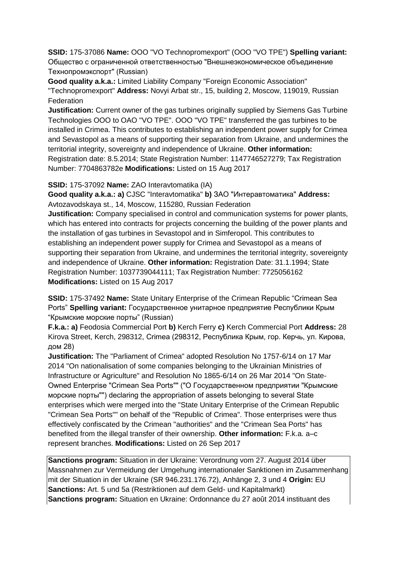**SSID:** 175-37086 **Name:** OOO "VO Technopromexport" (OOO "VO TPE") **Spelling variant:**  Общество с ограниченной ответственностью "Внешнеэкономическое объединение Технопромэкспорт" (Russian)

**Good quality a.k.a.:** Limited Liability Company "Foreign Economic Association" "Technopromexport" **Address:** Novyi Arbat str., 15, building 2, Moscow, 119019, Russian **Federation** 

**Justification:** Current owner of the gas turbines originally supplied by Siemens Gas Turbine Technologies OOO to OAO "VO TPE". OOO "VO TPE" transferred the gas turbines to be installed in Crimea. This contributes to establishing an independent power supply for Crimea and Sevastopol as a means of supporting their separation from Ukraine, and undermines the territorial integrity, sovereignty and independence of Ukraine. **Other information:** Registration date: 8.5.2014; State Registration Number: 1147746527279; Tax Registration Number: 7704863782e **Modifications:** Listed on 15 Aug 2017

**SSID:** 175-37092 **Name:** ZAO Interavtomatika (IA)

**Good quality a.k.a.: a)** CJSC "Interavtomatika" **b)** ЗАО "Интеравтоматика" **Address:** Avtozavodskaya st., 14, Moscow, 115280, Russian Federation

**Justification:** Company specialised in control and communication systems for power plants, which has entered into contracts for projects concerning the building of the power plants and the installation of gas turbines in Sevastopol and in Simferopol. This contributes to establishing an independent power supply for Crimea and Sevastopol as a means of supporting their separation from Ukraine, and undermines the territorial integrity, sovereignty and independence of Ukraine. **Other information:** Registration Date: 31.1.1994; State Registration Number: 1037739044111; Tax Registration Number: 7725056162 **Modifications:** Listed on 15 Aug 2017

**SSID:** 175-37492 **Name:** State Unitary Enterprise of the Crimean Republic "Crimean Sea Ports" **Spelling variant:** Государственное унитарное предприятие Республики Крым "Крымские морские порты" (Russian)

**F.k.a.: a)** Feodosia Commercial Port **b)** Kerch Ferry **c)** Kerch Commercial Port **Address:** 28 Kirova Street, Kerch, 298312, Crimea (298312, Республика Крым, гор. Керчь, ул. Кирова, дом 28)

**Justification:** The "Parliament of Crimea" adopted Resolution No 1757-6/14 on 17 Mar 2014 "On nationalisation of some companies belonging to the Ukrainian Ministries of Infrastructure or Agriculture" and Resolution No 1865-6/14 on 26 Mar 2014 "On State-Owned Enterprise "Crimean Sea Ports"" ("О Государственном предприятии "Крымские морские порты"") declaring the appropriation of assets belonging to several State enterprises which were merged into the "State Unitary Enterprise of the Crimean Republic "Crimean Sea Ports"" on behalf of the "Republic of Crimea". Those enterprises were thus effectively confiscated by the Crimean "authorities" and the "Crimean Sea Ports" has benefited from the illegal transfer of their ownership. **Other information:** F.k.a. a–c represent branches. **Modifications:** Listed on 26 Sep 2017

**Sanctions program:** Situation in der Ukraine: Verordnung vom 27. August 2014 über Massnahmen zur Vermeidung der Umgehung internationaler Sanktionen im Zusammenhang mit der Situation in der Ukraine (SR 946.231.176.72), Anhänge 2, 3 und 4 **Origin:** EU **Sanctions:** Art. 5 und 5a (Restriktionen auf dem Geld- und Kapitalmarkt) **Sanctions program:** Situation en Ukraine: Ordonnance du 27 août 2014 instituant des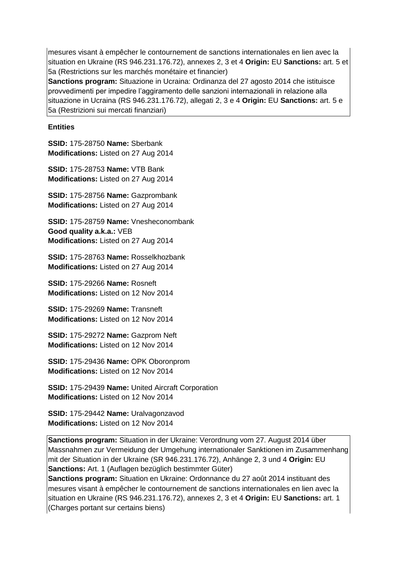mesures visant à empêcher le contournement de sanctions internationales en lien avec la situation en Ukraine (RS 946.231.176.72), annexes 2, 3 et 4 **Origin:** EU **Sanctions:** art. 5 et 5a (Restrictions sur les marchés monétaire et financier)

**Sanctions program:** Situazione in Ucraina: Ordinanza del 27 agosto 2014 che istituisce provvedimenti per impedire l'aggiramento delle sanzioni internazionali in relazione alla situazione in Ucraina (RS 946.231.176.72), allegati 2, 3 e 4 **Origin:** EU **Sanctions:** art. 5 e 5a (Restrizioni sui mercati finanziari)

### **Entities**

**SSID:** 175-28750 **Name:** Sberbank **Modifications:** Listed on 27 Aug 2014

**SSID:** 175-28753 **Name:** VTB Bank **Modifications:** Listed on 27 Aug 2014

**SSID:** 175-28756 **Name:** Gazprombank **Modifications:** Listed on 27 Aug 2014

**SSID:** 175-28759 **Name:** Vnesheconombank **Good quality a.k.a.:** VEB **Modifications:** Listed on 27 Aug 2014

**SSID:** 175-28763 **Name:** Rosselkhozbank **Modifications:** Listed on 27 Aug 2014

**SSID:** 175-29266 **Name:** Rosneft **Modifications:** Listed on 12 Nov 2014

**SSID:** 175-29269 **Name:** Transneft **Modifications:** Listed on 12 Nov 2014

**SSID:** 175-29272 **Name:** Gazprom Neft **Modifications:** Listed on 12 Nov 2014

**SSID:** 175-29436 **Name:** OPK Oboronprom **Modifications:** Listed on 12 Nov 2014

**SSID:** 175-29439 **Name:** United Aircraft Corporation **Modifications:** Listed on 12 Nov 2014

**SSID:** 175-29442 **Name:** Uralvagonzavod **Modifications:** Listed on 12 Nov 2014

**Sanctions program:** Situation in der Ukraine: Verordnung vom 27. August 2014 über Massnahmen zur Vermeidung der Umgehung internationaler Sanktionen im Zusammenhang mit der Situation in der Ukraine (SR 946.231.176.72), Anhänge 2, 3 und 4 **Origin:** EU **Sanctions:** Art. 1 (Auflagen bezüglich bestimmter Güter)

**Sanctions program:** Situation en Ukraine: Ordonnance du 27 août 2014 instituant des mesures visant à empêcher le contournement de sanctions internationales en lien avec la situation en Ukraine (RS 946.231.176.72), annexes 2, 3 et 4 **Origin:** EU **Sanctions:** art. 1 (Charges portant sur certains biens)